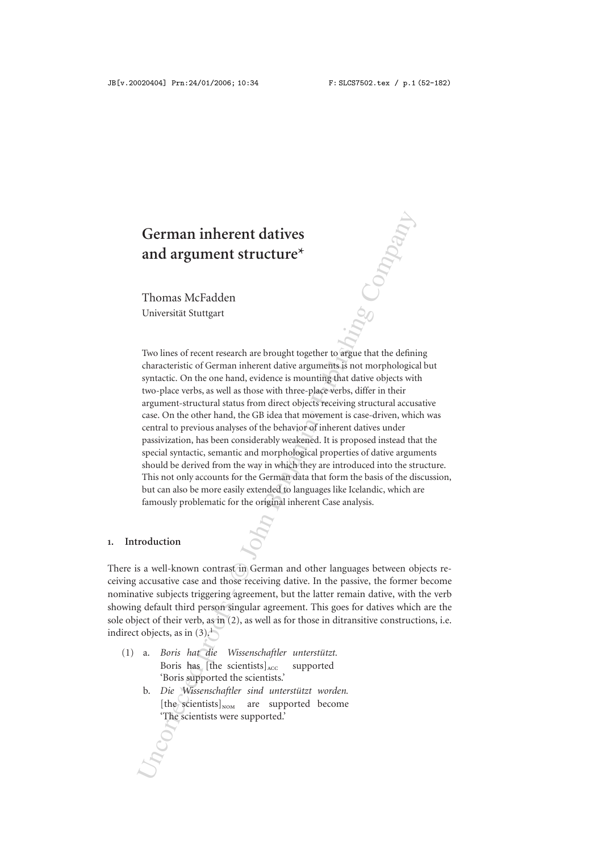# **German inherent datives and argument structure\***

Thomas McFadden Universität Stuttgart

**German inherent datives**<br>
and argument structure\*<br>
Thomas McFadden<br>
Thomas McFadden<br>
Thomas of recent research are brought together to argue that the definition<br>
Two lines of recent research are brought together to argue Two lines of recent research are brought together to argue that the defining characteristic of German inherent dative arguments is not morphological but syntactic. On the one hand, evidence is mounting that dative objects with two-place verbs, as well as those with three-place verbs, differ in their argument-structural status from direct objects receiving structural accusative case. On the other hand, the GB idea that movement is case-driven, which was central to previous analyses of the behavior of inherent datives under passivization, has been considerably weakened. It is proposed instead that the special syntactic, semantic and morphological properties of dative arguments should be derived from the way in which they are introduced into the structure. This not only accounts for the German data that form the basis of the discussion, but can also be more easily extended to languages like Icelandic, which are famously problematic for the original inherent Case analysis.

# **. Introduction**

There is a well-known contrast in German and other languages between objects receiving accusative case and those receiving dative. In the passive, the former become nominative subjects triggering agreement, but the latter remain dative, with the verb showing default third person singular agreement. This goes for datives which are the sole object of their verb, as in (2), as well as for those in ditransitive constructions, i.e. indirect objects, as in  $(3)$ .<sup>1</sup>

- (1) a. *Boris hat die Wissenschaftler unterstützt.* Boris has [the scientists]acc supported 'Boris supported the scientists.'
	- b. *Die Wissenschaftler sind unterstützt worden.* [the scientists]<sub>NOM</sub> are supported become 'The scientists were supported.'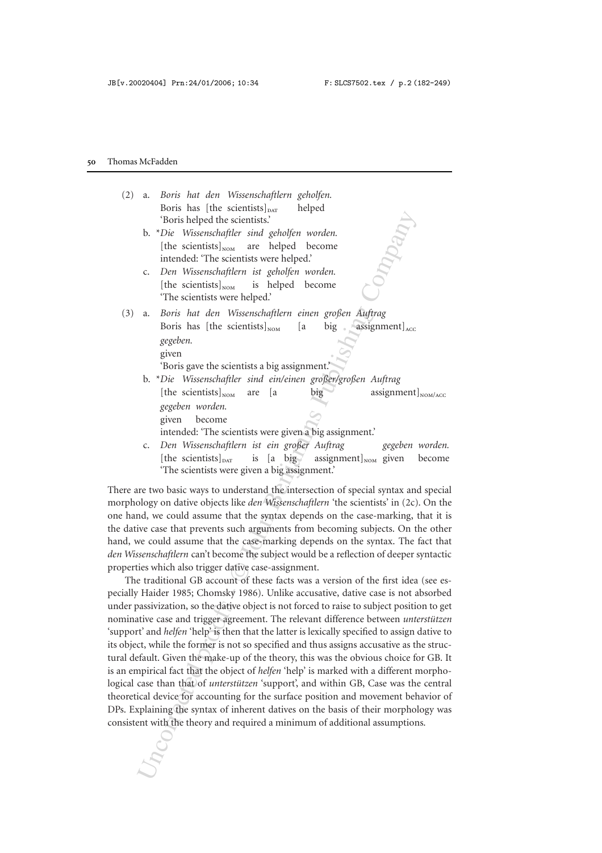- (2) a. *Boris hat den Wissenschaftlern geholfen.* Boris has [the scientists] $_{\text{DATA}}$ helped 'Boris helped the scientists.'
	- b. \**Die Wissenschaftler sind geholfen worden.*  $[the \text{ scientists}]_{\text{nom}}$  are helped become intended: 'The scientists were helped.'
	- c. *Den Wissenschaftlern ist geholfen worden.* [the scientists]<sub>NOM</sub> is helped become 'The scientists were helped.'
- (3) a. *Boris hat den Wissenschaftlern einen großen Auftrag* Boris has [the scientists] $_{\text{NOM}}$ [a big  $\text{assignment}$ ] $_{\text{ACC}}$ *gegeben.* given 'Boris gave the scientists a big assignment.'
	- b. \**Die Wissenschaftler sind ein/einen großer/großen Auftrag* [the scientists]<sub>NOM</sub> are [a big  $assignment]_{\text{NOM/ACC}}$ *gegeben worden.* given become intended: 'The scientists were given a big assignment.'
	- c. *Den Wissenschaftlern ist ein großer Auftrag* [the scientists] $_{\text{part}}$ is [a big assignment]<sub>NOM</sub> given *gegeben worden.* become 'The scientists were given a big assignment.'

There are two basic ways to understand the intersection of special syntax and special morphology on dative objects like *den Wissenschaftlern* 'the scientists' in (2c). On the one hand, we could assume that the syntax depends on the case-marking, that it is the dative case that prevents such arguments from becoming subjects. On the other hand, we could assume that the case-marking depends on the syntax. The fact that *den Wissenschaftlern* can't become the subject would be a reflection of deeper syntactic properties which also trigger dative case-assignment.

The Wissenschaftler sind gelalogies and general controls be the selection of the scientists).<br>
the scientists l<sub>osses</sub> are helped become interded.<br>
The scientists losse we helped become interded. The scientists losse are The traditional GB account of these facts was a version of the first idea (see especially Haider 1985; Chomsky 1986). Unlike accusative, dative case is not absorbed under passivization, so the dative object is not forced to raise to subject position to get nominative case and trigger agreement. The relevant difference between *unterstützen* 'support' and *helfen* 'help' is then that the latter is lexically specified to assign dative to its object, while the former is not so specified and thus assigns accusative as the structural default. Given the make-up of the theory, this was the obvious choice for GB. It is an empirical fact that the object of *helfen* 'help' is marked with a different morphological case than that of *unterstützen* 'support', and within GB, Case was the central theoretical device for accounting for the surface position and movement behavior of DPs. Explaining the syntax of inherent datives on the basis of their morphology was consistent with the theory and required a minimum of additional assumptions.

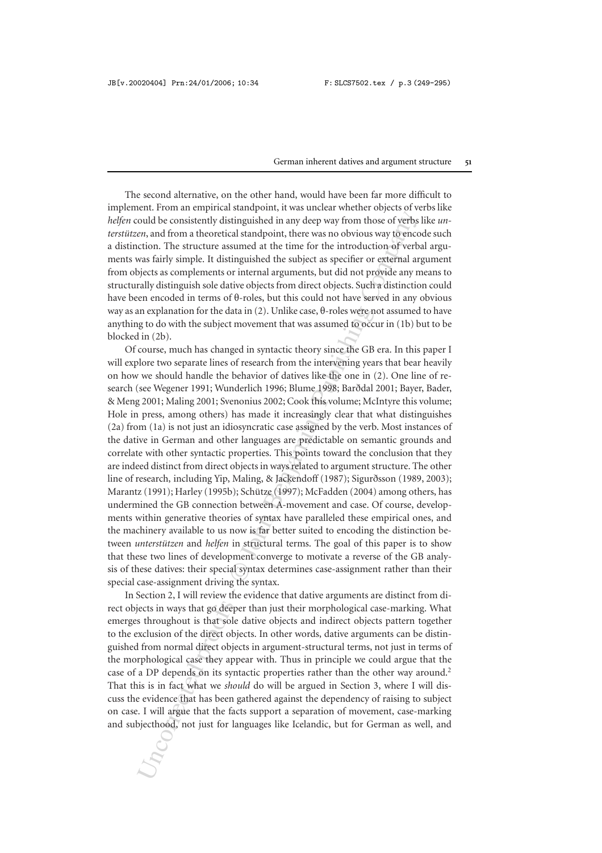The second alternative, on the other hand, would have been far more difficult to implement. From an empirical standpoint, it was unclear whether objects of verbs like *helfen* could be consistently distinguished in any deep way from those of verbs like *unterstützen*, and from a theoretical standpoint, there was no obvious way to encode such a distinction. The structure assumed at the time for the introduction of verbal arguments was fairly simple. It distinguished the subject as specifier or external argument from objects as complements or internal arguments, but did not provide any means to structurally distinguish sole dative objects from direct objects. Such a distinction could have been encoded in terms of θ-roles, but this could not have served in any obvious way as an explanation for the data in (2). Unlike case, θ-roles were not assumed to have anything to do with the subject movement that was assumed to occur in (1b) but to be blocked in (2b).

ould be consistently distinguished in any deep way from those of verbs,  $m_i$  and from a theoretical standpoint, there was no obvious way (freenotical) action. The structure assumed at the time for the introduction of verb Of course, much has changed in syntactic theory since the GB era. In this paper I will explore two separate lines of research from the intervening years that bear heavily on how we should handle the behavior of datives like the one in (2). One line of research (see Wegener 1991; Wunderlich 1996; Blume 1998; Barðdal 2001; Bayer, Bader, & Meng 2001; Maling 2001; Svenonius 2002; Cook this volume; McIntyre this volume; Hole in press, among others) has made it increasingly clear that what distinguishes (2a) from (1a) is not just an idiosyncratic case assigned by the verb. Most instances of the dative in German and other languages are predictable on semantic grounds and correlate with other syntactic properties. This points toward the conclusion that they are indeed distinct from direct objects in ways related to argument structure. The other line of research, including Yip, Maling, & Jackendoff (1987); Sigurðsson (1989, 2003); Marantz (1991); Harley (1995b); Schütze (1997); McFadden (2004) among others, has undermined the GB connection between A-movement and case. Of course, developments within generative theories of syntax have paralleled these empirical ones, and the machinery available to us now is far better suited to encoding the distinction between *unterstützen* and *helfen* in structural terms. The goal of this paper is to show that these two lines of development converge to motivate a reverse of the GB analysis of these datives: their special syntax determines case-assignment rather than their special case-assignment driving the syntax.

In Section 2, I will review the evidence that dative arguments are distinct from direct objects in ways that go deeper than just their morphological case-marking. What emerges throughout is that sole dative objects and indirect objects pattern together to the exclusion of the direct objects. In other words, dative arguments can be distinguished from normal direct objects in argument-structural terms, not just in terms of the morphological case they appear with. Thus in principle we could argue that the case of a DP depends on its syntactic properties rather than the other way around. 2 That this is in fact what we *should* do will be argued in Section 3, where I will discuss the evidence that has been gathered against the dependency of raising to subject on case. I will argue that the facts support a separation of movement, case-marking and subjecthood, not just for languages like Icelandic, but for German as well, and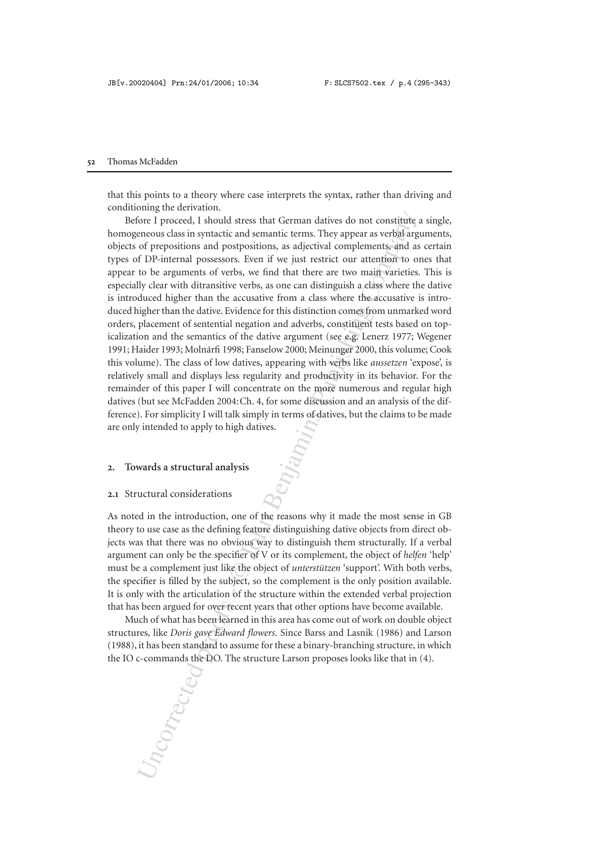that this points to a theory where case interprets the syntax, rather than driving and conditioning the derivation.

fore I proceed, I should stress that German datives do not constitute encous class in syntactic and sements. They appear as veribal arguments of prepositions and postpositions, as adjectived complements, and as of periodi Before I proceed, I should stress that German datives do not constitute a single, homogeneous class in syntactic and semantic terms. They appear as verbal arguments, objects of prepositions and postpositions, as adjectival complements, and as certain types of DP-internal possessors. Even if we just restrict our attention to ones that appear to be arguments of verbs, we find that there are two main varieties. This is especially clear with ditransitive verbs, as one can distinguish a class where the dative is introduced higher than the accusative from a class where the accusative is introduced higher than the dative. Evidence for this distinction comes from unmarked word orders, placement of sentential negation and adverbs, constituent tests based on topicalization and the semantics of the dative argument (see e.g. Lenerz 1977; Wegener 1991; Haider 1993; Molnárfi 1998; Fanselow 2000; Meinunger 2000, this volume; Cook this volume). The class of low datives, appearing with verbs like *aussetzen* 'expose', is relatively small and displays less regularity and productivity in its behavior. For the remainder of this paper I will concentrate on the more numerous and regular high datives (but see McFadden 2004:Ch. 4, for some discussion and an analysis of the difference). For simplicity I will talk simply in terms of datives, but the claims to be made are only intended to apply to high datives.

#### **. Towards a structural analysis**

#### **.** Structural considerations

As noted in the introduction, one of the reasons why it made the most sense in GB theory to use case as the defining feature distinguishing dative objects from direct objects was that there was no obvious way to distinguish them structurally. If a verbal argument can only be the specifier of V or its complement, the object of *helfen* 'help' must be a complement just like the object of *unterstützen* 'support'. With both verbs, the specifier is filled by the subject, so the complement is the only position available. It is only with the articulation of the structure within the extended verbal projection that has been argued for over recent years that other options have become available.

Much of what has been learned in this area has come out of work on double object structures, like *Doris gave Edward flowers*. Since Barss and Lasnik (1986) and Larson (1988), it has been standard to assume for these a binary-branching structure, in which the IO c-commands the DO. The structure Larson proposes looks like that in (4).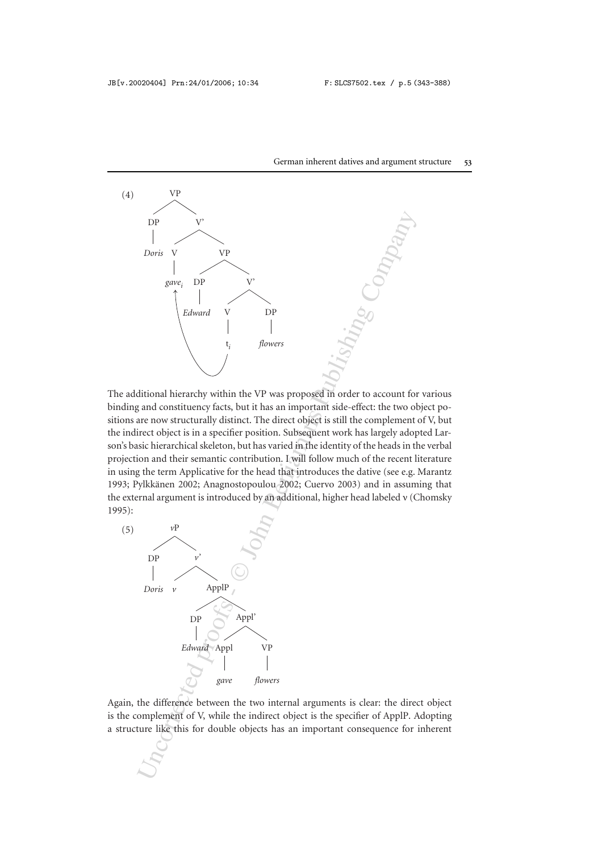

The additional hierarchy within the VP was proposed in order to account for various binding and constituency facts, but it has an important side-effect: the two object positions are now structurally distinct. The direct object is still the complement of V, but the indirect object is in a specifier position. Subsequent work has largely adopted Larson's basic hierarchical skeleton, but has varied in the identity of the heads in the verbal projection and their semantic contribution. I will follow much of the recent literature in using the term Applicative for the head that introduces the dative (see e.g. Marantz 1993; Pylkkänen 2002; Anagnostopoulou 2002; Cuervo 2003) and in assuming that the external argument is introduced by an additional, higher head labeled ν (Chomsky 1995):



Again, the difference between the two internal arguments is clear: the direct object is the complement of V, while the indirect object is the specifier of ApplP. Adopting a structure like this for double objects has an important consequence for inherent

#### German inherent datives and argument structure 53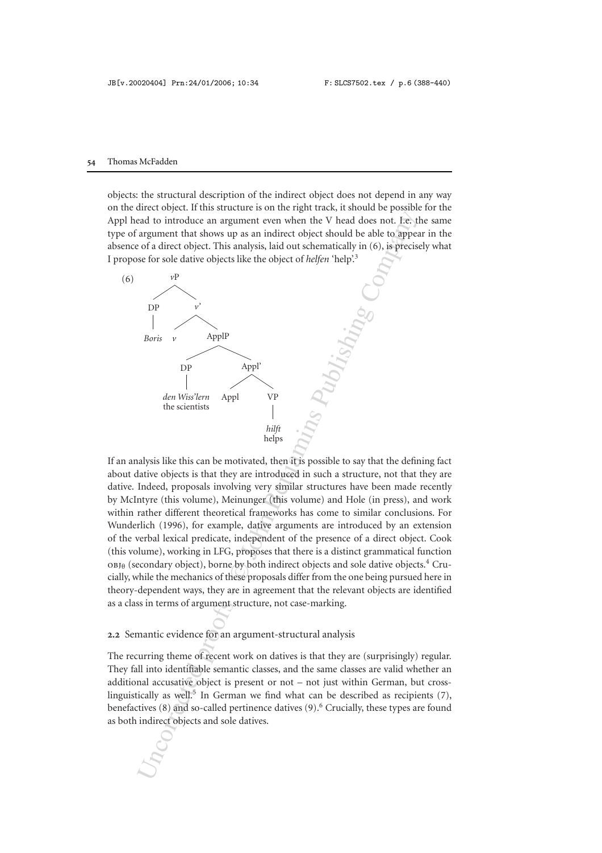objects: the structural description of the indirect object does not depend in any way on the direct object. If this structure is on the right track, it should be possible for the Appl head to introduce an argument even when the V head does not. I.e. the same type of argument that shows up as an indirect object should be able to appear in the absence of a direct object. This analysis, laid out schematically in (6), is precisely what I propose for sole dative objects like the object of *helfen* 'help'. 3



If an analysis like this can be motivated, then it is possible to say that the defining fact about dative objects is that they are introduced in such a structure, not that they are dative. Indeed, proposals involving very similar structures have been made recently by McIntyre (this volume), Meinunger (this volume) and Hole (in press), and work within rather different theoretical frameworks has come to similar conclusions. For Wunderlich (1996), for example, dative arguments are introduced by an extension of the verbal lexical predicate, independent of the presence of a direct object. Cook (this volume), working in LFG, proposes that there is a distinct grammatical function ов<sub>J0</sub> (secondary object), borne by both indirect objects and sole dative objects.<sup>4</sup> Crucially, while the mechanics of these proposals differ from the one being pursued here in theory-dependent ways, they are in agreement that the relevant objects are identified as a class in terms of argument structure, not case-marking.

## **.** Semantic evidence for an argument-structural analysis

The recurring theme of recent work on datives is that they are (surprisingly) regular. They fall into identifiable semantic classes, and the same classes are valid whether an additional accusative object is present or not – not just within German, but crosslinguistically as well.<sup>5</sup> In German we find what can be described as recipients  $(7)$ , benefactives (8) and so-called pertinence datives (9). <sup>6</sup> Crucially, these types are found as both indirect objects and sole datives.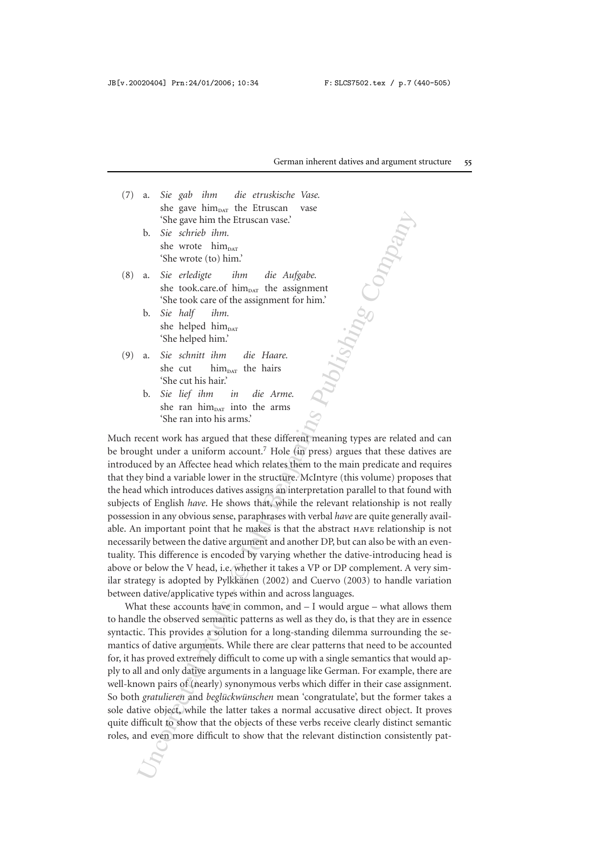- $(7)$  a. she gave him<sub>par</sub> the Etruscan *gab ihm die etruskische Vase.* vase 'She gave him the Etruscan vase.'
	- b. *Sie schrieb ihm.* she wrote  $\hbox{him}_{\hbox{\tiny{DAT}}}$ 'She wrote (to) him.'
- (8) a. *Sie* she took.care.of  $\lim_{\text{part}}$  the assignment *erledigte ihm die Aufgabe.* 'She took care of the assignment for him.'
	- b. *Sie half* she helped  $\operatorname{him}_{\operatorname{bar}}$ *ihm.* 'She helped him.'
- (9) a. *Sie* she cut *schnitt ihm*  $\lim_{\text{part}}$  the hairs *die Haare.* 'She cut his hair.'
	- b. *Sie lief ihm* she ran  $\lim_{\text{part}}$  into the arms *in die Arme.* 'She ran into his arms.'

The gave him the Eltuscan vase.<br>
Sine gave him the Eltuscan vase.<br>
Sine gave him the Eltuscan vase.<br>
Sine wrote (to) him.<br>
She wrote (to) him.<br>
a. Sie relabige  $\frac{1}{6}$  the mass<br>
she too Concrete of the assignment for hi Much recent work has argued that these different meaning types are related and can be brought under a uniform account.<sup>7</sup> Hole (in press) argues that these datives are introduced by an Affectee head which relates them to the main predicate and requires that they bind a variable lower in the structure. McIntyre (this volume) proposes that the head which introduces datives assigns an interpretation parallel to that found with subjects of English *have*. He shows that, while the relevant relationship is not really possession in any obvious sense, paraphrases with verbal *have* are quite generally available. An important point that he makes is that the abstract have relationship is not necessarily between the dative argument and another DP, but can also be with an eventuality. This difference is encoded by varying whether the dative-introducing head is above or below the V head, i.e. whether it takes a VP or DP complement. A very similar strategy is adopted by Pylkkänen (2002) and Cuervo (2003) to handle variation between dative/applicative types within and across languages.

What these accounts have in common, and - I would argue - what allows them to handle the observed semantic patterns as well as they do, is that they are in essence syntactic. This provides a solution for a long-standing dilemma surrounding the semantics of dative arguments. While there are clear patterns that need to be accounted for, it has proved extremely difficult to come up with a single semantics that would apply to all and only dative arguments in a language like German. For example, there are well-known pairs of (nearly) synonymous verbs which differ in their case assignment. So both *gratulieren* and *beglückwünschen* mean 'congratulate', but the former takes a sole dative object, while the latter takes a normal accusative direct object. It proves quite difficult to show that the objects of these verbs receive clearly distinct semantic roles, and even more difficult to show that the relevant distinction consistently pat-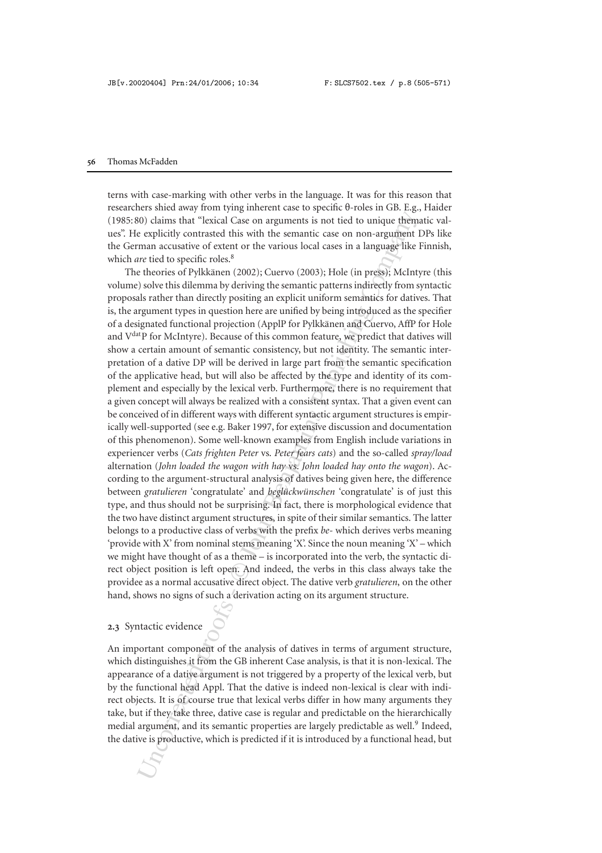terns with case-marking with other verbs in the language. It was for this reason that researchers shied away from tying inherent case to specific θ-roles in GB. E.g., Haider (1985:80) claims that "lexical Case on arguments is not tied to unique thematic values". He explicitly contrasted this with the semantic case on non-argument DPs like the German accusative of extent or the various local cases in a language like Finnish, which *are* tied to specific roles. 8

30) chains that "lexical Case on arguments is not tied to unique them<br>e explicitly contrasted this with the semantic case on non-argument is<br>non accusative of extent or the various local cases in no largougine<br>There is th The theories of Pylkkänen (2002); Cuervo (2003); Hole (in press); McIntyre (this volume) solve this dilemma by deriving the semantic patterns indirectly from syntactic proposals rather than directly positing an explicit uniform semantics for datives. That is, the argument types in question here are unified by being introduced as the specifier of a designated functional projection (ApplP for Pylkkänen and Cuervo, AffP for Hole and V<sup>dat</sup>P for McIntyre). Because of this common feature, we predict that datives will show a certain amount of semantic consistency, but not identity. The semantic interpretation of a dative DP will be derived in large part from the semantic specification of the applicative head, but will also be affected by the type and identity of its complement and especially by the lexical verb. Furthermore, there is no requirement that a given concept will always be realized with a consistent syntax. That a given event can be conceived of in different ways with different syntactic argument structures is empirically well-supported (see e.g. Baker 1997, for extensive discussion and documentation of this phenomenon). Some well-known examples from English include variations in experiencer verbs (*Cats frighten Peter* vs. *Peter fears cats*) and the so-called *spray/load* alternation (*John loaded the wagon with hay* vs. *John loaded hay onto the wagon*). According to the argument-structural analysis of datives being given here, the difference between *gratulieren* 'congratulate' and *beglückwünschen* 'congratulate' is of just this type, and thus should not be surprising. In fact, there is morphological evidence that the two have distinct argument structures, in spite of their similar semantics. The latter belongs to a productive class of verbs with the prefix *be-* which derives verbs meaning 'provide with X' from nominal stems meaning 'X'. Since the noun meaning 'X' – which we might have thought of as a theme – is incorporated into the verb, the syntactic direct object position is left open. And indeed, the verbs in this class always take the providee as a normal accusative direct object. The dative verb *gratulieren*, on the other hand, shows no signs of such a derivation acting on its argument structure.

# **.** Syntactic evidence

An important component of the analysis of datives in terms of argument structure, which distinguishes it from the GB inherent Case analysis, is that it is non-lexical. The appearance of a dative argument is not triggered by a property of the lexical verb, but by the functional head Appl. That the dative is indeed non-lexical is clear with indirect objects. It is of course true that lexical verbs differ in how many arguments they take, but if they take three, dative case is regular and predictable on the hierarchically medial argument, and its semantic properties are largely predictable as well. <sup>9</sup> Indeed, the dative is productive, which is predicted if it is introduced by a functional head, but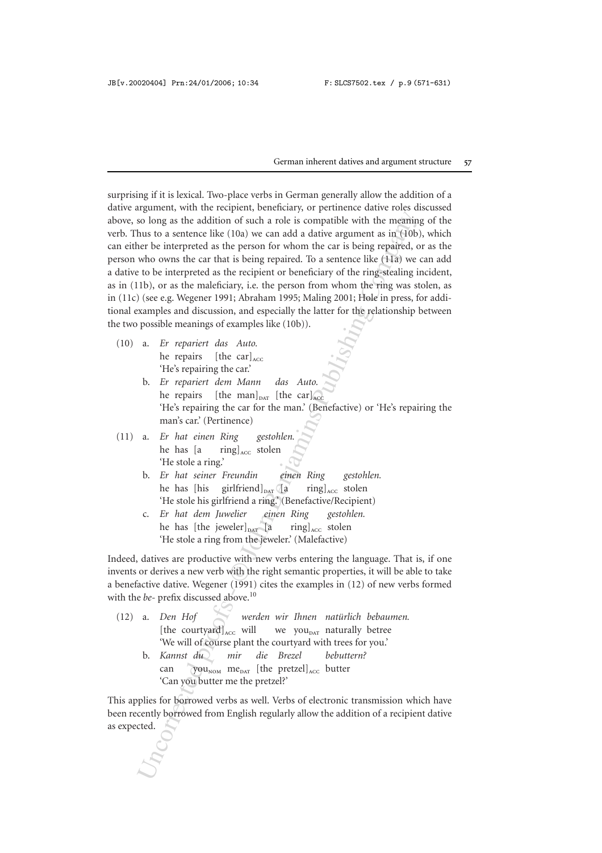is a boostomic solution of such a role is compatible with the meaning that but a sentence like (10a) we can radd a dative argument is incipably with the meaning true in the car that is being repaired, on a sentence like ( surprising if it is lexical. Two-place verbs in German generally allow the addition of a dative argument, with the recipient, beneficiary, or pertinence dative roles discussed above, so long as the addition of such a role is compatible with the meaning of the verb. Thus to a sentence like (10a) we can add a dative argument as in (10b), which can either be interpreted as the person for whom the car is being repaired, or as the person who owns the car that is being repaired. To a sentence like (11a) we can add a dative to be interpreted as the recipient or beneficiary of the ring-stealing incident, as in (11b), or as the maleficiary, i.e. the person from whom the ring was stolen, as in (11c) (see e.g. Wegener 1991; Abraham 1995; Maling 2001; Hole in press, for additional examples and discussion, and especially the latter for the relationship between the two possible meanings of examples like (10b)).

|  | (10) a. Er repariert das Auto.       |                          |
|--|--------------------------------------|--------------------------|
|  | he repairs [the car] $_{\text{acc}}$ |                          |
|  | 'He's repairing the car.'            |                          |
|  |                                      | Er repariert dem Mann da |

b. *Er repariert dem Mann* he repairs [the man] $_{\text{bar}}$  [the car] $_{\text{acc}}$ *das Auto.* 'He's repairing the car for the man.' (Benefactive) or 'He's repairing the man's car.' (Pertinence)

- (11) a. *Er hat einen Ring* he has [a  $[\mathrm{ring}]_{\mathrm{acc}}$  stolen *gestohlen.* 'He stole a ring.'
	- b. *Er hat seiner Freundin* he has [his girlfriend] $_{\text{bar}}$  ([a *einen Ring* ring]<sub>Acc</sub> stolen *gestohlen.* 'He stole his girlfriend a ring.' (Benefactive/Recipient)
	- c. *Er hat dem Juwelier* he has [the jeweler] $_{\text{part}}$  [a *einen Ring* ring]<sub>Acc</sub> stolen *gestohlen.* 'He stole a ring from the jeweler.' (Malefactive)

Indeed, datives are productive with new verbs entering the language. That is, if one invents or derives a new verb with the right semantic properties, it will be able to take a benefactive dative. Wegener (1991) cites the examples in (12) of new verbs formed with the *be*- prefix discussed above.<sup>10</sup>

|  |                                                             | (12) a. Den Hof werden wir Ihnen natürlich bebaumen.                         |
|--|-------------------------------------------------------------|------------------------------------------------------------------------------|
|  |                                                             | [the courtyard] $_{\text{acc}}$ will we you <sub>par</sub> naturally betree  |
|  | 'We will of course plant the courtyard with trees for you.' |                                                                              |
|  |                                                             | b. Kannst du mir die Brezel bebuttern?                                       |
|  |                                                             | can you <sub>NOM</sub> me <sub>DAT</sub> [the pretzel] <sub>ACC</sub> butter |
|  |                                                             | 'Can you butter me the pretzel?'                                             |

This applies for borrowed verbs as well. Verbs of electronic transmission which have been recently borrowed from English regularly allow the addition of a recipient dative as expected.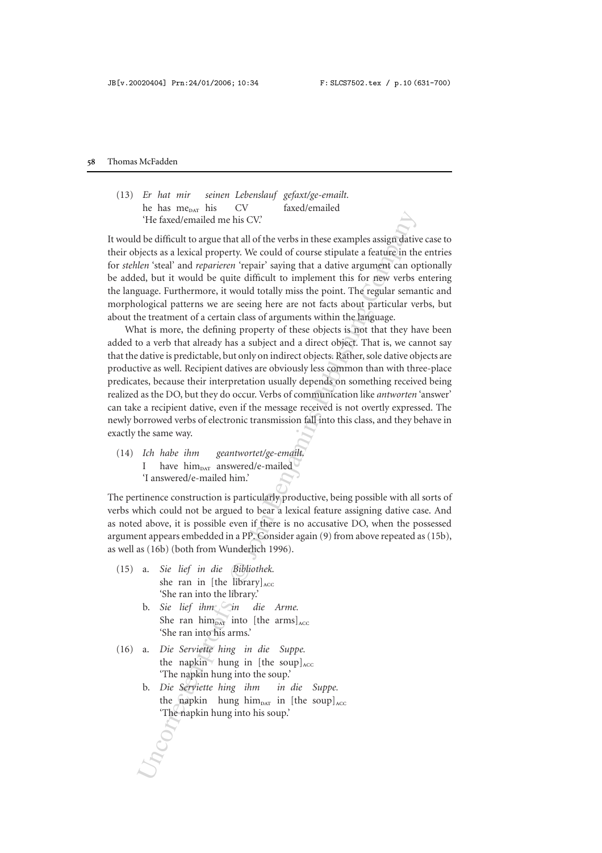(13) *Er hat mir* he has me<sub>dat</sub> his *seinen Lebenslauf gefaxt/ge-emailt.* CV faxed/emailed 'He faxed/emailed me his CV.'

It would be difficult to argue that all of the verbs in these examples assign dative case to their objects as a lexical property. We could of course stipulate a feature in the entries for *stehlen* 'steal' and *reparieren* 'repair' saying that a dative argument can optionally be added, but it would be quite difficult to implement this for new verbs entering the language. Furthermore, it would totally miss the point. The regular semantic and morphological patterns we are seeing here are not facts about particular verbs, but about the treatment of a certain class of arguments within the language.

The faxed<br>centralied me his CV. The faxed central of the verbs in these examples as<br>signifiably the difficult to argue that all of the verbs in these examples as<br>signifiably interval and the method of course signifiable a What is more, the defining property of these objects is not that they have been added to a verb that already has a subject and a direct object. That is, we cannot say that the dative is predictable, but only on indirect objects. Rather, sole dative objects are productive as well. Recipient datives are obviously less common than with three-place predicates, because their interpretation usually depends on something received being realized as the DO, but they do occur. Verbs of communication like *antworten* 'answer' can take a recipient dative, even if the message received is not overtly expressed. The newly borrowed verbs of electronic transmission fall into this class, and they behave in exactly the same way.

(14) *Ich habe ihm*  $\mathbf{I}$ have him<sub>par</sub> answered/e-mailed *geantwortet/ge-emailt.* 'I answered/e-mailed him.'

The pertinence construction is particularly productive, being possible with all sorts of verbs which could not be argued to bear a lexical feature assigning dative case. And as noted above, it is possible even if there is no accusative DO, when the possessed argument appears embedded in a PP. Consider again (9) from above repeated as (15b), as well as (16b) (both from Wunderlich 1996).

- (15) a. *Sie lief in die Bibliothek.* she ran in [the library]<sub>ACC</sub> 'She ran into the library.'
	- b. *Sie lief ihm in die Arme.* She ran  $\lim_{\text{part}}$  into [the arms]<sub>ACC</sub> 'She ran into his arms.'
- (16) a. *Die Serviette hing in die Suppe.* the napkin hung in [the soup] $_{\text{acc}}$ 'The napkin hung into the soup.'
	- b. *Die Serviette hing ihm* the napkin hung him<sub>par</sub> in [the soup]<sub>Acc</sub> *in die Suppe.* 'The napkin hung into his soup.'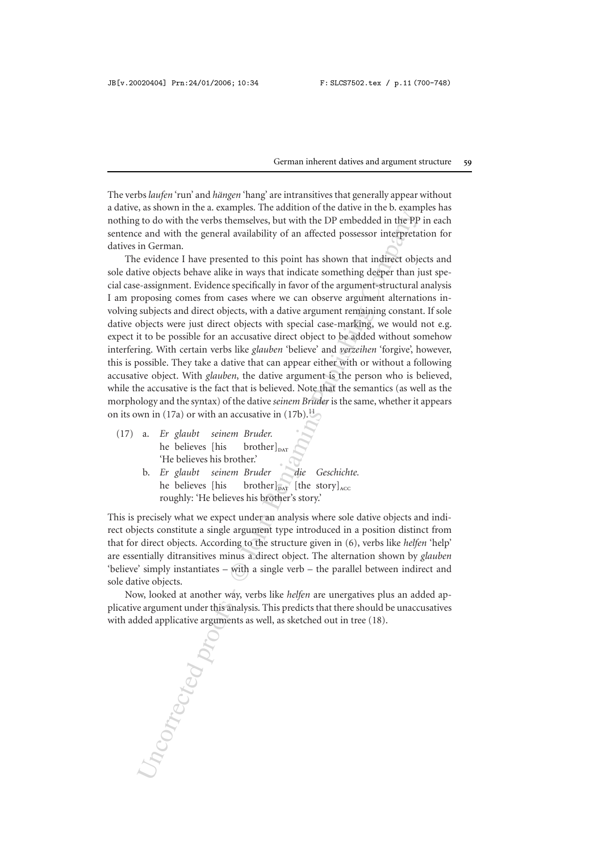The verbs*laufen* 'run' and *hängen* 'hang' are intransitives that generally appear without a dative, as shown in the a. examples. The addition of the dative in the b. examples has nothing to do with the verbs themselves, but with the DP embedded in the PP in each sentence and with the general availability of an affected possessor interpretation for datives in German.

g to do with the verbs themselves, but with the DP embedded in the PP and with the DP embedded in the PP in Ger and with the general availability of an affected possessor interpretation in German.<br>
In German.<br>
In German. The evidence I have presented to this point has shown that indirect objects and sole dative objects behave alike in ways that indicate something deeper than just special case-assignment. Evidence specifically in favor of the argument-structural analysis I am proposing comes from cases where we can observe argument alternations involving subjects and direct objects, with a dative argument remaining constant. If sole dative objects were just direct objects with special case-marking, we would not e.g. expect it to be possible for an accusative direct object to be added without somehow interfering. With certain verbs like *glauben* 'believe' and *verzeihen* 'forgive', however, this is possible. They take a dative that can appear either with or without a following accusative object. With *glauben*, the dative argument is the person who is believed, while the accusative is the fact that is believed. Note that the semantics (as well as the morphology and the syntax) of the dative *seinem Bruder* is the same, whether it appears on its own in (17a) or with an accusative in (17b).<sup>11</sup>

- (17) a. *Er glaubt seinem Bruder.* he believes [his  $b$ rother $]_{\text{part}}$ 'He believes his brother.'
	- b. *Er glaubt seinem Bruder* he believes [his  $b$ rother] $_{\text{part}}$  [the story] $_{\text{acc}}$ *die Geschichte.* roughly: 'He believes his brother's story.'

This is precisely what we expect under an analysis where sole dative objects and indirect objects constitute a single argument type introduced in a position distinct from that for direct objects. According to the structure given in (6), verbs like *helfen* 'help' are essentially ditransitives minus a direct object. The alternation shown by *glauben* 'believe' simply instantiates – with a single verb – the parallel between indirect and sole dative objects.

Now, looked at another way, verbs like *helfen* are unergatives plus an added applicative argument under this analysis. This predicts that there should be unaccusatives with added applicative arguments as well, as sketched out in tree (18).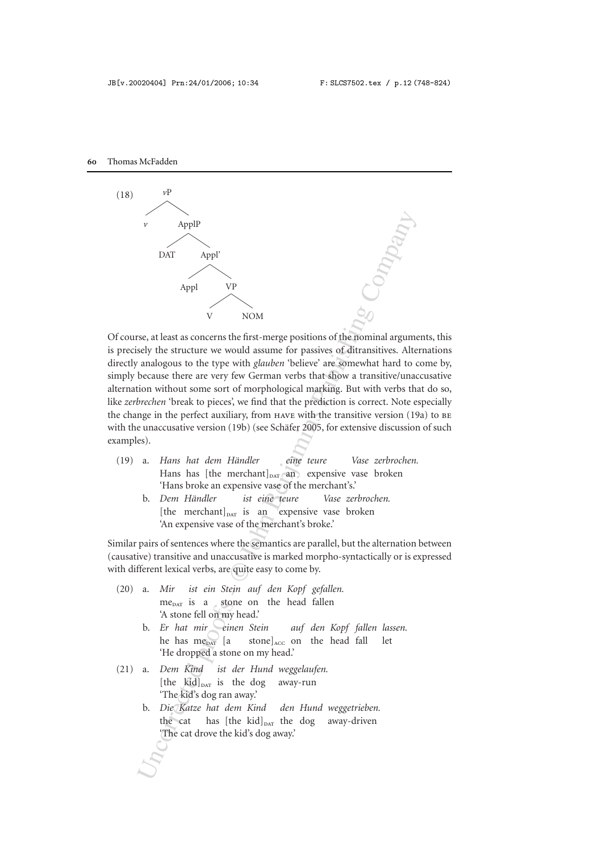

Of course, at least as concerns the first-merge positions of the nominal arguments, this is precisely the structure we would assume for passives of ditransitives. Alternations directly analogous to the type with *glauben* 'believe' are somewhat hard to come by, simply because there are very few German verbs that show a transitive/unaccusative alternation without some sort of morphological marking. But with verbs that do so, like *zerbrechen* 'break to pieces', we find that the prediction is correct. Note especially the change in the perfect auxiliary, from have with the transitive version (19a) to be with the unaccusative version (19b) (see Schäfer 2005, for extensive discussion of such examples).

- (19) a. *Hans hat dem Händler* Hans has [the merchant] $_{\text{bar}}$  an expensive vase broken *eine teure Vase zerbrochen.* 'Hans broke an expensive vase of the merchant's.'
	- b. *Dem Händler* [the merchant] $_{\text{DATA}}$  is an *ist eine teure* expensive vase broken *Vase zerbrochen.* 'An expensive vase of the merchant's broke.'

Similar pairs of sentences where the semantics are parallel, but the alternation between (causative) transitive and unaccusative is marked morpho-syntactically or is expressed with different lexical verbs, are quite easy to come by.

| $\boldsymbol{\nu}$ | ApplP                                                                                                                                                                                                                                                                                                                                                                                                                                                                                                                                                                                                                                                      |                                                                  |                                         |                                      |     |
|--------------------|------------------------------------------------------------------------------------------------------------------------------------------------------------------------------------------------------------------------------------------------------------------------------------------------------------------------------------------------------------------------------------------------------------------------------------------------------------------------------------------------------------------------------------------------------------------------------------------------------------------------------------------------------------|------------------------------------------------------------------|-----------------------------------------|--------------------------------------|-----|
|                    | DAT<br>Appl'                                                                                                                                                                                                                                                                                                                                                                                                                                                                                                                                                                                                                                               |                                                                  |                                         |                                      |     |
|                    |                                                                                                                                                                                                                                                                                                                                                                                                                                                                                                                                                                                                                                                            |                                                                  |                                         |                                      |     |
|                    | Appl                                                                                                                                                                                                                                                                                                                                                                                                                                                                                                                                                                                                                                                       | VP                                                               |                                         |                                      |     |
|                    |                                                                                                                                                                                                                                                                                                                                                                                                                                                                                                                                                                                                                                                            |                                                                  |                                         |                                      |     |
|                    |                                                                                                                                                                                                                                                                                                                                                                                                                                                                                                                                                                                                                                                            | <b>NOM</b>                                                       |                                         |                                      |     |
| amples).           | f course, at least as concerns the first-merge positions of the nominal argume<br>precisely the structure we would assume for passives of ditransitives. Alter<br>rectly analogous to the type with glauben 'believe' are somewhat hard to c<br>mply because there are very few German verbs that show a transitive/unac<br>ternation without some sort of morphological marking. But with verbs tha<br>te zerbrechen 'break to pieces', we find that the prediction is correct. Note es<br>e change in the perfect auxiliary, from HAVE with the transitive version (19<br>ith the unaccusative version (19b) (see Schäfer 2005, for extensive discussion |                                                                  |                                         |                                      |     |
| (19)<br>a.<br>b.   | Hans hat dem Händler<br>Hans has [the merchant] <sub>DAT</sub> an expensive vase broken<br>'Hans broke an expensive vase of the merchant's.'<br>Dem Händler<br>[the merchant] $_{\text{DATA}}$ is an 'expensive vase broken<br>'An expensive vase of the merchant's broke.'                                                                                                                                                                                                                                                                                                                                                                                | ist eine teure                                                   | eine teure                              | Vase zerbrochen.<br>Vase zerbrochen. |     |
|                    | milar pairs of sentences where the semantics are parallel, but the alternation l<br>ausative) transitive and unaccusative is marked morpho-syntactically or is ex<br>th different lexical verbs, are quite easy to come by.                                                                                                                                                                                                                                                                                                                                                                                                                                |                                                                  |                                         |                                      |     |
| (20)<br>а.         | Mir<br>$me_{\text{part}}$ is a<br>'A stone fell on my head.'                                                                                                                                                                                                                                                                                                                                                                                                                                                                                                                                                                                               | ist ein Stein auf den Kopf gefallen.<br>stone on the head fallen |                                         |                                      |     |
| b.                 | Er hat mir einen Stein auf den Kopf fallen lassen.<br>he has me <sub>par</sub> [a<br>'He dropped a stone on my head.'                                                                                                                                                                                                                                                                                                                                                                                                                                                                                                                                      |                                                                  | stone] $_{\text{ACC}}$ on the head fall |                                      | let |
| (21)<br>a.         | Dem Kind<br>[the $kid$ ] <sub>DAT</sub> is the dog<br>'The kid's dog ran away.'                                                                                                                                                                                                                                                                                                                                                                                                                                                                                                                                                                            | ist der Hund weggelaufen.                                        | away-run                                |                                      |     |
| b.                 | Die Katze hat dem Kind den Hund weggetrieben.<br>the cat has [the kid] <sub>DAT</sub> the dog away-driven<br>'The cat drove the kid's dog away.'                                                                                                                                                                                                                                                                                                                                                                                                                                                                                                           |                                                                  |                                         |                                      |     |
|                    |                                                                                                                                                                                                                                                                                                                                                                                                                                                                                                                                                                                                                                                            |                                                                  |                                         |                                      |     |
|                    |                                                                                                                                                                                                                                                                                                                                                                                                                                                                                                                                                                                                                                                            |                                                                  |                                         |                                      |     |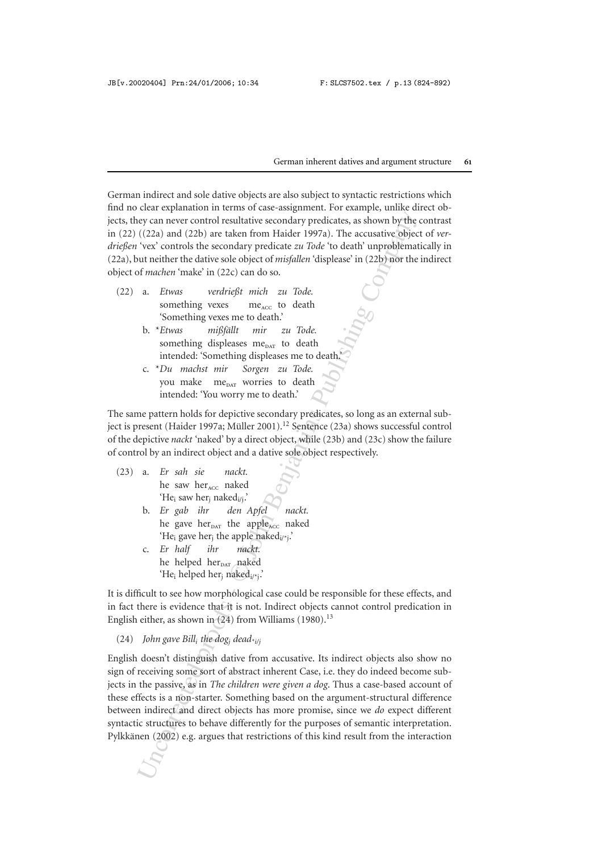German indirect and sole dative objects are also subject to syntactic restrictions which find no clear explanation in terms of case-assignment. For example, unlike direct objects, they can never control resultative secondary predicates, as shown by the contrast in (22) ((22a) and (22b) are taken from Haider 1997a). The accusative object of *verdrießen* 'vex' controls the secondary predicate *zu Tode* 'to death' unproblematically in (22a), but neither the dative sole object of *misfallen* 'displease' in (22b) nor the indirect object of *machen* 'make' in (22c) can do so.

- (22) a. *Etwas* something vexes *verdrießt mich zu Tode.* me<sub>acc</sub> to death 'Something vexes me to death.'
	- b. \**Etwas* something displeases me<sub>DAT</sub> to death *mißfällt mir zu Tode.* intended: 'Something displeases me to death
	- c. \**Du machst mir* you make  $me_{\text{part}}$  worries to death *Sorgen zu Tode.* intended: 'You worry me to death.'

The same pattern holds for depictive secondary predicates, so long as an external subject is present (Haider 1997a; Müller 2001).<sup>12</sup> Sentence (23a) shows successful control of the depictive *nackt* 'naked' by a direct object, while (23b) and (23c) show the failure of control by an indirect object and a dative sole object respectively.

|  | (23) a. Er sah sie nackt.                                                 |
|--|---------------------------------------------------------------------------|
|  | he saw her <sub>ACC</sub> naked                                           |
|  | 'He <sub>i</sub> saw her <sub>i</sub> naked <sub>i/i</sub> .'             |
|  | b. Er gab ihr den Apfel nackt.                                            |
|  | he gave her <sub>DAT</sub> the apple <sub>ACC</sub> naked                 |
|  | 'He <sub>i</sub> gave her <sub>i</sub> the apple naked <sub>i/*j</sub> .' |
|  | c. Er half ihr nackt.                                                     |
|  | he helped her <sub>par</sub> naked                                        |
|  | 'He <sub>i</sub> helped her <sub>j</sub> naked <sub>i/*j</sub> .'         |
|  |                                                                           |

It is difficult to see how morphological case could be responsible for these effects, and in fact there is evidence that it is not. Indirect objects cannot control predication in English either, as shown in  $(24)$  from Williams (1980).<sup>13</sup>

(24) *John gave Bill <sup>i</sup> the dogj dead\*i/j*

ey can never control resultative secondary predicates, as shown by<br>the ((22a) and (22b) are taken from Haide 1997a). The accustive<br>Coley two condary predicate zar Tote to death' unproblemate the diversa of<br>the secondary p English doesn't distinguish dative from accusative. Its indirect objects also show no sign of receiving some sort of abstract inherent Case, i.e. they do indeed become subjects in the passive, as in *The children were given a dog*. Thus a case-based account of these effects is a non-starter. Something based on the argument-structural difference between indirect and direct objects has more promise, since we *do* expect different syntactic structures to behave differently for the purposes of semantic interpretation. Pylkkänen (2002) e.g. argues that restrictions of this kind result from the interaction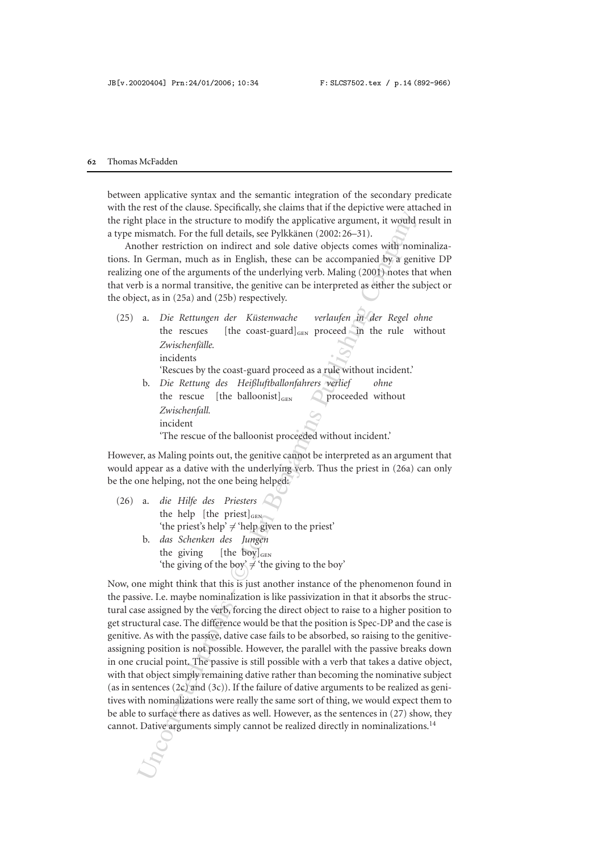between applicative syntax and the semantic integration of the secondary predicate with the rest of the clause. Specifically, she claims that if the depictive were attached in the right place in the structure to modify the applicative argument, it would result in a type mismatch. For the full details, see Pylkkänen (2002:26–31).

Another restriction on indirect and sole dative objects comes with nominalizations. In German, much as in English, these can be accompanied by a genitive DP realizing one of the arguments of the underlying verb. Maling (2001) notes that when that verb is a normal transitive, the genitive can be interpreted as either the subject or the object, as in (25a) and (25b) respectively.

| (25) | a. Die Rettungen der Küstenwache verlaufen in der Regel ohne                |  |  |  |  |  |  |  |
|------|-----------------------------------------------------------------------------|--|--|--|--|--|--|--|
|      | [the coast-guard] <sub>GEN</sub> proceed in the rule without<br>the rescues |  |  |  |  |  |  |  |
|      | Zwischenfälle.                                                              |  |  |  |  |  |  |  |
|      | incidents                                                                   |  |  |  |  |  |  |  |
|      | 'Rescues by the coast-guard proceed as a rule without incident.'            |  |  |  |  |  |  |  |
|      | b. Die Rettung des Heißluftballonfahrers verlief<br><i>ohne</i>             |  |  |  |  |  |  |  |
|      | the rescue [the balloonist] $_{\text{GEN}}$<br>proceeded without            |  |  |  |  |  |  |  |
|      | Zwischenfall.                                                               |  |  |  |  |  |  |  |
|      | incident                                                                    |  |  |  |  |  |  |  |
|      | 'The rescue of the balloonist proceeded without incident.'                  |  |  |  |  |  |  |  |
|      |                                                                             |  |  |  |  |  |  |  |

However, as Maling points out, the genitive cannot be interpreted as an argument that would appear as a dative with the underlying verb. Thus the priest in (26a) can only be the one helping, not the one being helped:

|    | (26) a. die Hilfe des Priesters                        |
|----|--------------------------------------------------------|
|    | the help [the priest] $_{\text{GEN}}$                  |
|    | 'the priest's help' $\neq$ 'help given to the priest'  |
| b. | das Schenken des Jungen                                |
|    | the giving $[the body]_{GEN}$                          |
|    | 'the giving of the boy' $\neq$ 'the giving to the boy' |
|    |                                                        |

at place in the structure to modify the applicative argument, it would<br>interact proofs the applicative argument, it would interact for for full details, see Pylikkiner (2002-26-31). Order restriction on indirect and so le Now, one might think that this is just another instance of the phenomenon found in the passive. I.e. maybe nominalization is like passivization in that it absorbs the structural case assigned by the verb, forcing the direct object to raise to a higher position to get structural case. The difference would be that the position is Spec-DP and the case is genitive. As with the passive, dative case fails to be absorbed, so raising to the genitiveassigning position is not possible. However, the parallel with the passive breaks down in one crucial point. The passive is still possible with a verb that takes a dative object, with that object simply remaining dative rather than becoming the nominative subject (as in sentences  $(2c)$  and  $(3c)$ ). If the failure of dative arguments to be realized as genitives with nominalizations were really the same sort of thing, we would expect them to be able to surface there as datives as well. However, as the sentences in (27) show, they cannot. Dative arguments simply cannot be realized directly in nominalizations.<sup>14</sup>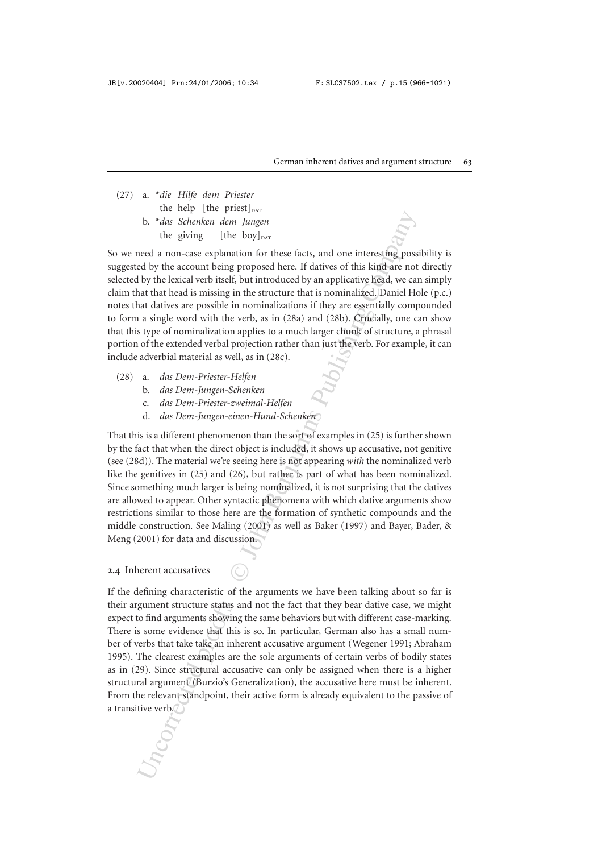#### (27) a. \**die Hilfe dem Priester* the help [the priest] $_{\text{DATA}}$ b. \**das Schenken dem Jungen* the giving [the boy] $_{\text{part}}$

So we need a non-case explanation for these facts, and one interesting possibility is suggested by the account being proposed here. If datives of this kind are not directly selected by the lexical verb itself, but introduced by an applicative head, we can simply claim that that head is missing in the structure that is nominalized. Daniel Hole (p.c.) notes that datives are possible in nominalizations if they are essentially compounded to form a single word with the verb, as in (28a) and (28b). Crucially, one can show that this type of nominalization applies to a much larger chunk of structure, a phrasal portion of the extended verbal projection rather than just the verb. For example, it can include adverbial material as well, as in (28c).

- (28) a. *das Dem-Priester-Helfen*
	- b. *das Dem-Jungen-Schenken*
	- c. *das Dem-Priester-zweimal-Helfen*
	- d. *das Dem-Jungen-einen-Hund-Schenken*

That this is a different phenomenon than the sort of examples in (25) is further shown by the fact that when the direct object is included, it shows up accusative, not genitive (see (28d)). The material we're seeing here is not appearing *with* the nominalized verb like the genitives in (25) and (26), but rather is part of what has been nominalized. Since something much larger is being nominalized, it is not surprising that the datives are allowed to appear. Other syntactic phenomena with which dative arguments show restrictions similar to those here are the formation of synthetic compounds and the middle construction. See Maling (2001) as well as Baker (1997) and Bayer, Bader, & Meng (2001) for data and discussion.

#### **.** Inherent accusatives

b. <sup>4</sup> An excelent proof is matter than the second at a mon-case explanation for the second at one interesting possible the by-<br>the siving The boy lace that that head is such that that head is missing in the structure tha If the defining characteristic of the arguments we have been talking about so far is their argument structure status and not the fact that they bear dative case, we might expect to find arguments showing the same behaviors but with different case-marking. There is some evidence that this is so. In particular, German also has a small number of verbs that take take an inherent accusative argument (Wegener 1991; Abraham 1995). The clearest examples are the sole arguments of certain verbs of bodily states as in (29). Since structural accusative can only be assigned when there is a higher structural argument (Burzio's Generalization), the accusative here must be inherent. From the relevant standpoint, their active form is already equivalent to the passive of a transitive verb.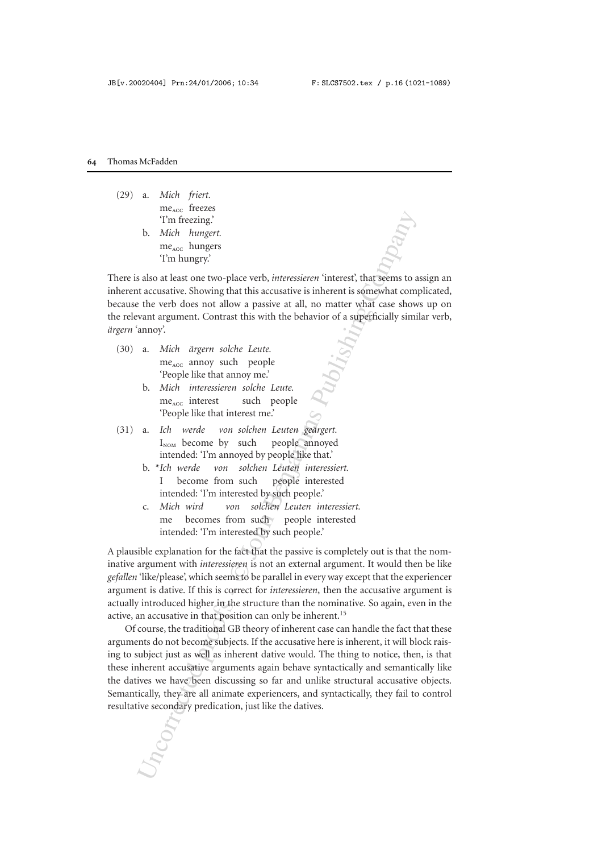(29) a. *Mich friert.* me<sub>ACC</sub> freezes 'I'm freezing.' b. *Mich hungert.* me<sub>acc</sub> hungers 'I'm hungry.'

There is also at least one two-place verb, *interessieren* 'interest', that seems to assign an inherent accusative. Showing that this accusative is inherent is somewhat complicated, because the verb does not allow a passive at all, no matter what case shows up on the relevant argument. Contrast this with the behavior of a superficially similar verb, *ärgern* 'annoy'.

- (30) a. *Mich ärgern solche Leute.* meacc annoy such people 'People like that annoy me.'
	- b. *Mich interessieren solche Leute.* me<sub>Acc</sub> interest such people 'People like that interest me.'
- (31) a. *Ich werde von solchen Leuten geärgert.* I<sub>NOM</sub> become by such people annoyed intended: 'I'm annoyed by people like that.'
	- b. \**Ich werde* I become from such *von solchen Leuten interessiert.* people interested intended: 'I'm interested by such people.'
	- c. *Mich wird* me becomes from such people interested *von solchen Leuten interessiert.* intended: 'I'm interested by such people.'

A plausible explanation for the fact that the passive is completely out is that the nominative argument with *interessieren* is not an external argument. It would then be like *gefallen* 'like/please', which seems to be parallel in every way except that the experiencer argument is dative. If this is correct for *interessieren*, then the accusative argument is actually introduced higher in the structure than the nominative. So again, even in the active, an accusative in that position can only be inherent.<sup>15</sup>

Tra freezing."<br>
The freezing."<br> *Mdh hungert.*<br> *Meta hungers*<br>
The hungers<br>
The hungers<br>
The hungers<br>
The hungers<br>
The hungers<br>
The hungers<br>
The hungers<br>  $\frac{1}{2}$  are the decrease and allow a passive at all, no matter w Of course, the traditional GB theory of inherent case can handle the fact that these arguments do not become subjects. If the accusative here is inherent, it will block raising to subject just as well as inherent dative would. The thing to notice, then, is that these inherent accusative arguments again behave syntactically and semantically like the datives we have been discussing so far and unlike structural accusative objects. Semantically, they are all animate experiencers, and syntactically, they fail to control resultative secondary predication, just like the datives.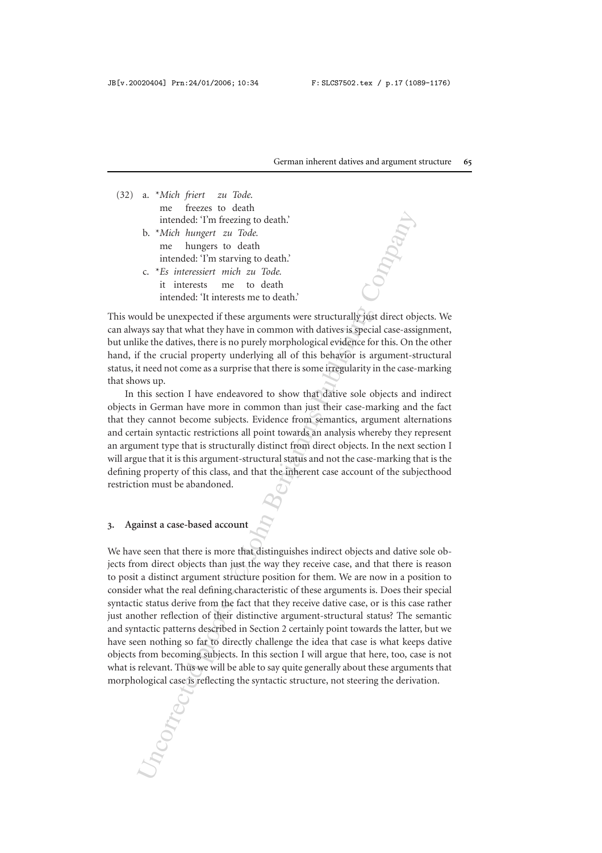- (32) a. \**Mich friert zu Tode.* me freezes to death intended: 'I'm freezing to death.'
	- b. \**Mich hungert zu Tode.* me hungers to death intended: 'I'm starving to death.' c. \**Es interessiert mich zu Tode.* it interests me to death
		- intended: 'It interests me to death.'

This would be unexpected if these arguments were structurally just direct objects. We can always say that what they have in common with datives is special case-assignment, but unlike the datives, there is no purely morphological evidence for this. On the other hand, if the crucial property underlying all of this behavior is argument-structural status, it need not come as a surprise that there is some irregularity in the case-marking that shows up.

In this section I have endeavored to show that dative sole objects and indirect objects in German have more in common than just their case-marking and the fact that they cannot become subjects. Evidence from semantics, argument alternations and certain syntactic restrictions all point towards an analysis whereby they represent an argument type that is structurally distinct from direct objects. In the next section I will argue that it is this argument-structural status and not the case-marking that is the defining property of this class, and that the inherent case account of the subjecthood restriction must be abandoned.

#### **. Against a case-based account**

intended: Trn freezing to death:<br>
b. "Mids hunger zar Tode.<br>
incorrect and Tode.<br>
incorrect and Tode.<br>
incorrect and Tode.<br>
incorrect and Tode and incorrect and The star-incorrect and The angularity of death.<br>
incorrected We have seen that there is more that distinguishes indirect objects and dative sole objects from direct objects than just the way they receive case, and that there is reason to posit a distinct argument structure position for them. We are now in a position to consider what the real defining characteristic of these arguments is. Does their special syntactic status derive from the fact that they receive dative case, or is this case rather just another reflection of their distinctive argument-structural status? The semantic and syntactic patterns described in Section 2 certainly point towards the latter, but we have seen nothing so far to directly challenge the idea that case is what keeps dative objects from becoming subjects. In this section I will argue that here, too, case is not what is relevant. Thus we will be able to say quite generally about these arguments that morphological case is reflecting the syntactic structure, not steering the derivation.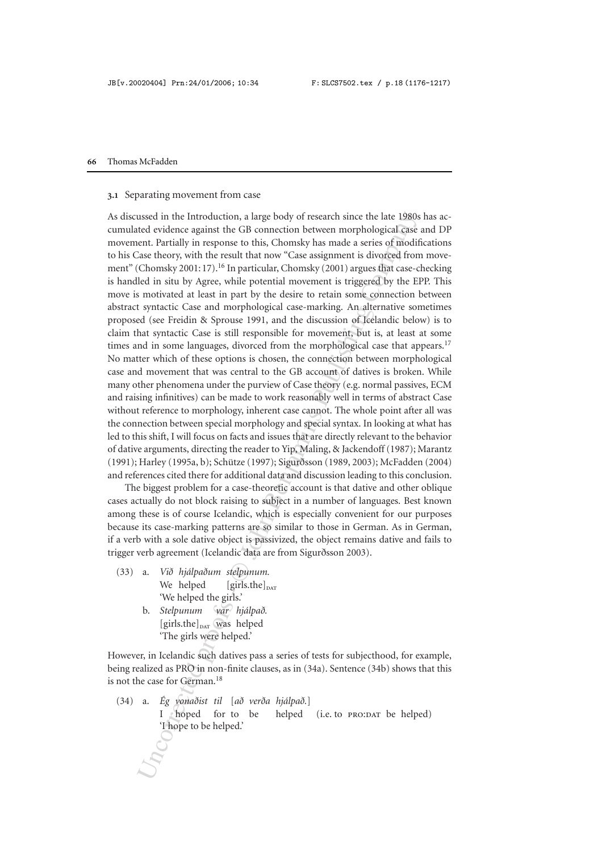#### **.** Separating movement from case

used in the Introduction, a large body of research since the lare 1980s<br>calced oridence against the GB connection between morphological case<br>ent. Partially in response to this, Chomsky has made a series of finodit<br>Chomsky As discussed in the Introduction, a large body of research since the late 1980s has accumulated evidence against the GB connection between morphological case and DP movement. Partially in response to this, Chomsky has made a series of modifications to his Case theory, with the result that now "Case assignment is divorced from movement" (Chomsky 2001:17).<sup>16</sup> In particular, Chomsky (2001) argues that case-checking is handled in situ by Agree, while potential movement is triggered by the EPP. This move is motivated at least in part by the desire to retain some connection between abstract syntactic Case and morphological case-marking. An alternative sometimes proposed (see Freidin & Sprouse 1991, and the discussion of Icelandic below) is to claim that syntactic Case is still responsible for movement, but is, at least at some times and in some languages, divorced from the morphological case that appears.<sup>17</sup> No matter which of these options is chosen, the connection between morphological case and movement that was central to the GB account of datives is broken. While many other phenomena under the purview of Case theory (e.g. normal passives, ECM and raising infinitives) can be made to work reasonably well in terms of abstract Case without reference to morphology, inherent case cannot. The whole point after all was the connection between special morphology and special syntax. In looking at what has led to this shift, I will focus on facts and issues that are directly relevant to the behavior of dative arguments, directing the reader to Yip, Maling, & Jackendoff (1987); Marantz (1991); Harley (1995a, b); Schütze (1997); Sigurðsson (1989, 2003); McFadden (2004) and references cited there for additional data and discussion leading to this conclusion.

The biggest problem for a case-theoretic account is that dative and other oblique cases actually do not block raising to subject in a number of languages. Best known among these is of course Icelandic, which is especially convenient for our purposes because its case-marking patterns are so similar to those in German. As in German, if a verb with a sole dative object is passivized, the object remains dative and fails to trigger verb agreement (Icelandic data are from Sigurðsson 2003).

(33) a. *Við hjálpaðum stelpunum.* We helped  $[girls.$ the] $_{\text{part}}$ 'We helped the girls.' b. *Stelpunum*  $[girls.$ the $]_{\text{part}}$  was helped *var hjálpað.* 'The girls were helped.'

However, in Icelandic such datives pass a series of tests for subjecthood, for example, being realized as PRO in non-finite clauses, as in (34a). Sentence (34b) shows that this is not the case for German.<sup>18</sup>

(34) a. *Ég* I *vonaðist* hoped *til* for [*að* to *verða* be *hjálpað.* ] helped (i.e. to pro:dat be helped) 'I hope to be helped.'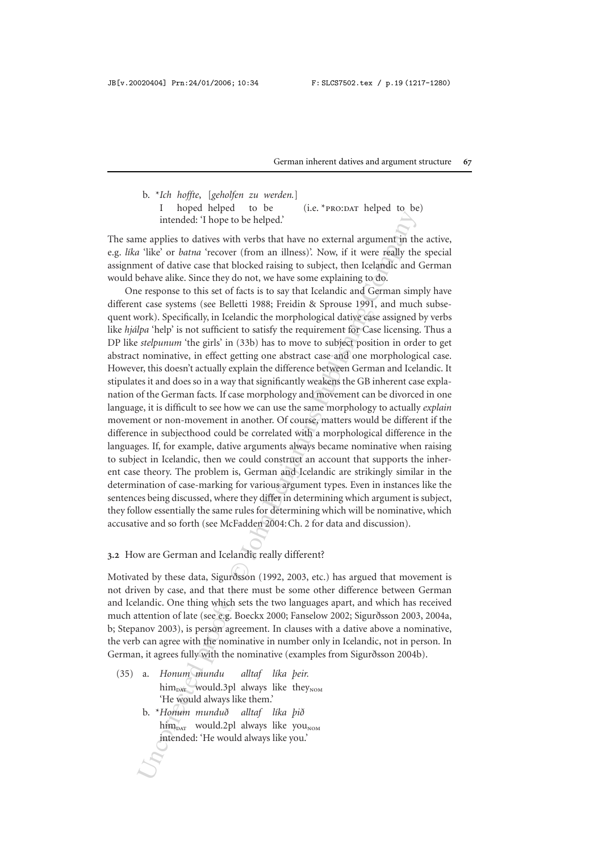German inherent datives and argument structure 67

#### b. \**Ich hoffte* , [*geholfen zu werden.* ] I hoped helped to be  $(i.e. *pro: par helped to be)$ intended: 'I hope to be helped.'

The same applies to datives with verbs that have no external argument in the active, e.g. *lika* 'like' or *batna* 'recover (from an illness)'. Now, if it were really the special assignment of dative case that blocked raising to subject, then Icelandic and German would behave alike. Since they do not, we have some explaining to do.

intended: Those to be helped.<br>
The maplisar to athress with webs that have no external argument in the<br>
"like" or hetara 'recover (from an illness): Now, if it were really the<br>
"like" or hetara 'recover (from an illness): One response to this set of facts is to say that Icelandic and German simply have different case systems (see Belletti 1988; Freidin & Sprouse 1991, and much subsequent work). Specifically, in Icelandic the morphological dative case assigned by verbs like *hjálpa* 'help' is not sufficient to satisfy the requirement for Case licensing. Thus a DP like *stelpunum* 'the girls' in (33b) has to move to subject position in order to get abstract nominative, in effect getting one abstract case and one morphological case. However, this doesn't actually explain the difference between German and Icelandic. It stipulates it and does so in a way that significantly weakens the GB inherent case explanation of the German facts. If case morphology and movement can be divorced in one language, it is difficult to see how we can use the same morphology to actually *explain* movement or non-movement in another. Of course, matters would be different if the difference in subjecthood could be correlated with a morphological difference in the languages. If, for example, dative arguments always became nominative when raising to subject in Icelandic, then we could construct an account that supports the inherent case theory. The problem is, German and Icelandic are strikingly similar in the determination of case-marking for various argument types. Even in instances like the sentences being discussed, where they differ in determining which argument is subject, they follow essentially the same rules for determining which will be nominative, which accusative and so forth (see McFadden 2004:Ch. 2 for data and discussion).

#### **.** How are German and Icelandic really different?

Motivated by these data, Sigurðsson (1992, 2003, etc.) has argued that movement is not driven by case, and that there must be some other difference between German and Icelandic. One thing which sets the two languages apart, and which has received much attention of late (see e.g. Boeckx 2000; Fanselow 2002; Sigurðsson 2003, 2004a, b; Stepanov 2003), is person agreement. In clauses with a dative above a nominative, the verb can agree with the nominative in number only in Icelandic, not in person. In German, it agrees fully with the nominative (examples from Sigurðsson 2004b).

- (35) a. *Honum mundu* him<sub>dar</sub> would.3pl always like they<sub>NOM</sub> *alltaf líka þeir.* 'He would always like them.'
	- b. \**Honum munduð alltaf líka þið*  $\lim_{\text{part}}$  would.2pl always like you<sub>nom</sub> intended: 'He would always like you.'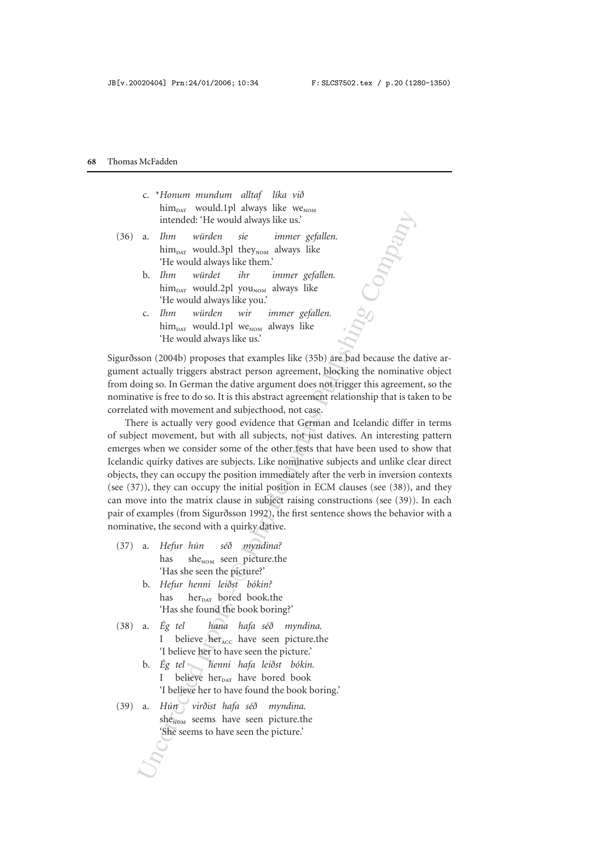- c. \**Honum mundum alltaf líka við* him<sub>dar</sub> would.1pl always like we<sub>nom</sub> intended: 'He would always like us.'
- (36) a. *Ihm* him<sub>dat</sub> would.3pl they<sub>nom</sub> always like *würden sie immer gefallen.* 'He would always like them.'
	- b. *Ihm* him<sub>dar</sub> would.2pl you<sub>nom</sub> always like *würdet ihr immer gefallen.* 'He would always like you.'
	- c. *Ihm*  $\operatorname{him}_{\operatorname{bar}}$  would.1pl we<sub>nom</sub> always like *würden wir immer gefallen.* 'He would always like us.'

Sigurðsson (2004b) proposes that examples like (35b) are bad because the dative argument actually triggers abstract person agreement, blocking the nominative object from doing so. In German the dative argument does not trigger this agreement, so the nominative is free to do so. It is this abstract agreement relationship that is taken to be correlated with movement and subjecthood, not case.

intended: "He would always like us."<br>
a. *flmm* winden size immer gefallen.<br>
him<sub>nea</sub> would.3pl they<sub>was</sub> always like<br>
"He would always like them."<br>
b. *flmm* winder in the mimner gefallen.<br>
The would always like them."<br> There is actually very good evidence that German and Icelandic differ in terms of subject movement, but with all subjects, not just datives. An interesting pattern emerges when we consider some of the other tests that have been used to show that Icelandic quirky datives are subjects. Like nominative subjects and unlike clear direct objects, they can occupy the position immediately after the verb in inversion contexts (see (37)), they can occupy the initial position in ECM clauses (see (38)), and they can move into the matrix clause in subject raising constructions (see (39)). In each pair of examples (from Sigurðsson 1992), the first sentence shows the behavior with a nominative, the second with a quirky dative.

- (37) a. *Hefur hún* has  ${\rm she}_{\rm\scriptscriptstyle NOM}$  seen picture.the *séð myndina?* 'Has she seen the picture?'
	- b. *Hefur henni leiðst bókin?* has her<sub>par</sub> bored book.the 'Has she found the book boring?'
- (38) a. *Ég tel* I believe her<sub>acc</sub> have seen picture.the *hana hafa séð myndina.* 'I believe her to have seen the picture.'
	- b. *Ég tel henni hafa leiðst bókin.* I believe her<sub>DAT</sub> have bored book 'I believe her to have found the book boring.'
- (39) a. *Hún virðist hafa séð myndina.* she<sub>nom</sub> seems have seen picture.the 'She seems to have seen the picture.'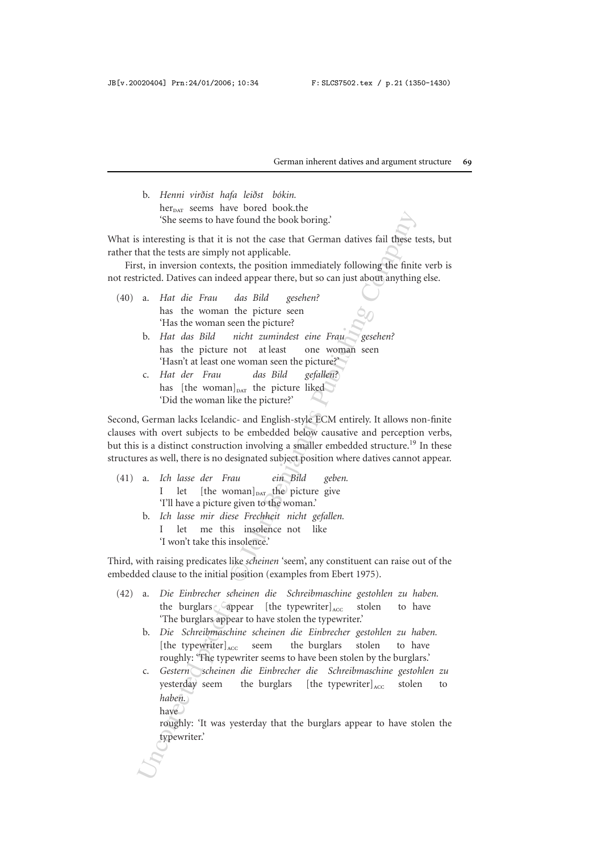b. *Henni virðist hafa leiðst bókin.* her<sub>par</sub> seems have bored book.the 'She seems to have found the book boring.'

What is interesting is that it is not the case that German datives fail these tests, but rather that the tests are simply not applicable.

First, in inversion contexts, the position immediately following the finite verb is not restricted. Datives can indeed appear there, but so can just about anything else.

|  |                                  |  |                                |  |  | (40) a. Hat die Frau das Bild gesehen?                                                                                  |  |
|--|----------------------------------|--|--------------------------------|--|--|-------------------------------------------------------------------------------------------------------------------------|--|
|  |                                  |  | has the woman the picture seen |  |  |                                                                                                                         |  |
|  | 'Has the woman seen the picture? |  |                                |  |  |                                                                                                                         |  |
|  |                                  |  |                                |  |  | 1. $H_{11}$ $H_{22}$ $H_{23}$ $H_{14}$ $H_{25}$ $H_{26}$ $H_{27}$ $H_{28}$ $H_{29}$ $H_{20}$ $H_{21}$ $H_{22}$ $H_{23}$ |  |

- b. *Hat das Bild* has the picture not at least *nicht zumindest eine Frau* one woman seen *gesehen?* 'Hasn't at least one woman seen the picture?'
- c. *Hat der Frau* has [the woman] $_{\text{DATA}}$  the picture liked *das Bild gefallen?* 'Did the woman like the picture?'

The seems to have found the book boring.<br>
The seems to have found the book boring.<br>
She seems to have the case that German datives fail these tas simply not applicable. This is a reached appear there, but so can just abou Second, German lacks Icelandic- and English-style ECM entirely. It allows non-finite clauses with overt subjects to be embedded below causative and perception verbs, but this is a distinct construction involving a smaller embedded structure.<sup>19</sup> In these structures as well, there is no designated subject position where datives cannot appear.

- (41) a. *Ich lasse der Frau* I let [the woman]<sub>DAT</sub> the picture give *ein Bild geben.* 'I'll have a picture given to the woman.'
	- b. *Ich lasse mir diese Frechheit nicht gefallen.* I let me this insolence not like 'I won't take this insolence.'

Third, with raising predicates like *scheinen* 'seem', any constituent can raise out of the embedded clause to the initial position (examples from Ebert 1975).

- (42) a. *Die Einbrecher scheinen die Schreibmaschine gestohlen zu haben.* the burglars appear [the typewriter]
<sub>Acc</sub> stolen to have 'The burglars appear to have stolen the typewriter.'
	- b. *Die Schreibmaschine scheinen die Einbrecher gestohlen zu haben.* [the typewriter]<sub>Acc</sub> seem the burglars stolen to have roughly: 'The typewriter seems to have been stolen by the burglars.'
	- c. *Gestern scheinen die Einbrecher die Schreibmaschine gestohlen zu* yesterday seem the burglars [the typewriter]<sub>ACC</sub> stolen to *haben.*

have

roughly: 'It was yesterday that the burglars appear to have stolen the typewriter.'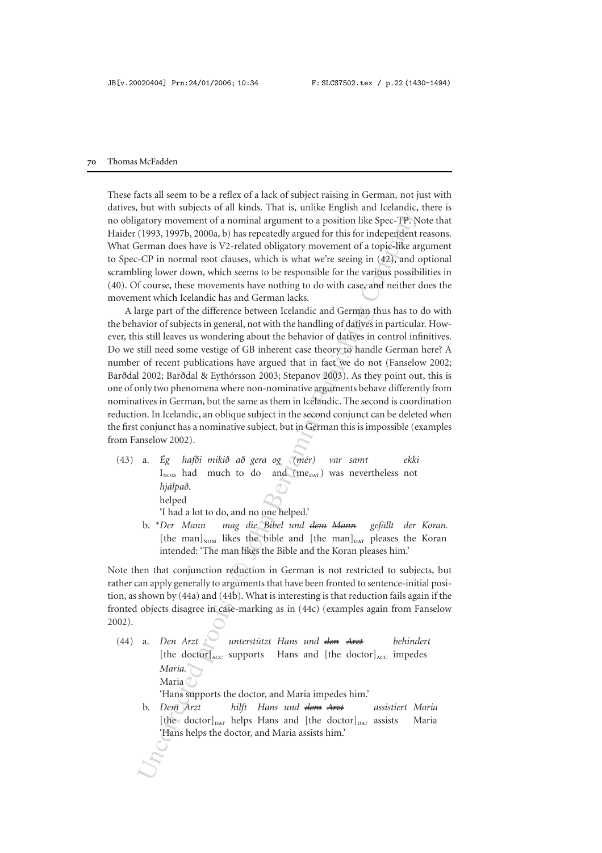These facts all seem to be a reflex of a lack of subject raising in German, not just with datives, but with subjects of all kinds. That is, unlike English and Icelandic, there is no obligatory movement of a nominal argument to a position like Spec-TP. Note that Haider (1993, 1997b, 2000a, b) has repeatedly argued for this for independent reasons. What German does have is V2-related obligatory movement of a topic-like argument to Spec-CP in normal root clauses, which is what we're seeing in (42), and optional scrambling lower down, which seems to be responsible for the various possibilities in (40). Of course, these movements have nothing to do with case, and neither does the movement which Icelandic has and German lacks.

gatory movement of a nominal argument to a position like Spec. TP: N1997, 1997b, 20000, b) has repeatedly a<br>gued for this for independent in the spec. TP: N1997, 1997b, 20000, b) has repeated<br>this particle argue of this f A large part of the difference between Icelandic and German thus has to do with the behavior of subjects in general, not with the handling of datives in particular. However, this still leaves us wondering about the behavior of datives in control infinitives. Do we still need some vestige of GB inherent case theory to handle German here? A number of recent publications have argued that in fact we do not (Fanselow 2002; Barðdal 2002; Barðdal & Eythórsson 2003; Stepanov 2003). As they point out, this is one of only two phenomena where non-nominative arguments behave differently from nominatives in German, but the same as them in Icelandic. The second is coordination reduction. In Icelandic, an oblique subject in the second conjunct can be deleted when the first conjunct has a nominative subject, but in German this is impossible (examples from Fanselow 2002).

- (43) a. *Ég hafði mikið að gera og (mér)*  $I_{\text{nom}}$  had much to do and  $(m_{\text{part}})$  was nevertheless not *var samt ekki hjálpað.* helped 'I had a lot to do, and no one helped.'
	- b. \**Der Mann mag die Bibel und dem Mann* [the man] $_{\text{nom}}$  likes the bible and [the man] $_{\text{bar}}$  pleases the Koran *gefällt der Koran.* intended: 'The man likes the Bible and the Koran pleases him.'

Note then that conjunction reduction in German is not restricted to subjects, but rather can apply generally to arguments that have been fronted to sentence-initial position, as shown by (44a) and (44b). What is interesting is that reduction fails again if the fronted objects disagree in case-marking as in (44c) (examples again from Fanselow 2002).

- (44) a. *Den Arzt* [the doctor]<sub>Acc</sub> supports Hans and [the doctor]<sub>Acc</sub> impedes *unterstützt Hans und den Arzt behindert Maria.* Maria 'Hans supports the doctor, and Maria impedes him.'
	- b. *Dem Arzt* [the doctor]<sub>DAT</sub> helps Hans and [the doctor]<sub>DAT</sub> assists *hilft Hans und dem Arzt assistiert Maria* Maria 'Hans helps the doctor, and Maria assists him.'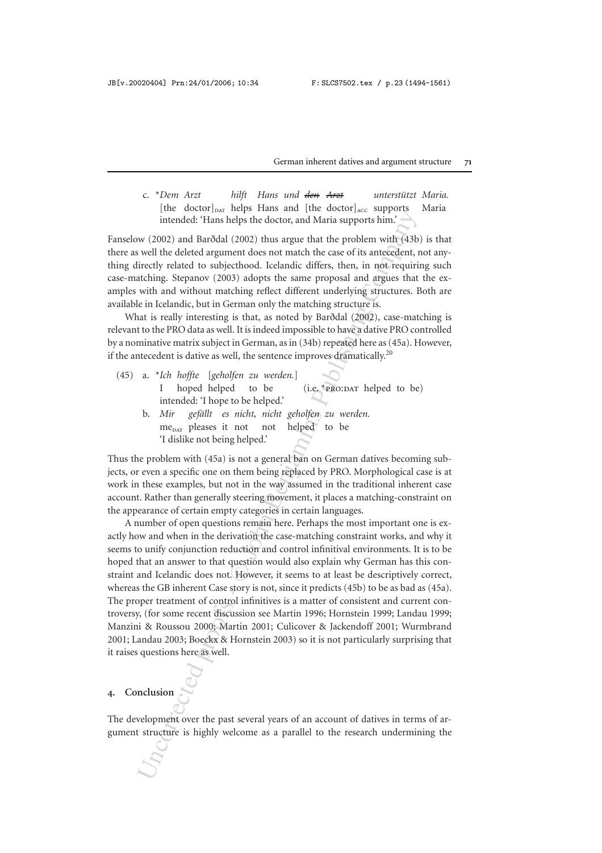German inherent datives and argument structure 71

c. \**Dem Arzt* [the doctor]<sub>DAT</sub> helps Hans and [the doctor]<sub>ACC</sub> supports *hilft Hans und den Arzt unterstützt Maria.* Maria intended: 'Hans helps the doctor, and Maria supports him.'

Fanselow (2002) and Barðdal (2002) thus argue that the problem with (43b) is that there as well the deleted argument does not match the case of its antecedent, not anything directly related to subjecthood. Icelandic differs, then, in not requiring such case-matching. Stepanov (2003) adopts the same proposal and argues that the examples with and without matching reflect different underlying structures. Both are available in Icelandic, but in German only the matching structure is.

What is really interesting is that, as noted by Barðdal (2002), case-matching is relevant to the PRO data as well. It is indeed impossible to have a dative PRO controlled by a nominative matrix subject in German, as in (34b) repeated here as (45a). However, if the antecedent is dative as well, the sentence improves dramatically.<sup>20</sup>

- (45) a. \**Ich hoffte* [*geholfen zu werden.* ] I hoped helped to be  $(i.e. *pro: par helped to be)$ intended: 'I hope to be helped.' b. *Mir gefällt es nicht, nicht geholfen zu werden.*
	- me<sub>dat</sub> pleases it not not helped to be 'I dislike not being helped.'

Thus the problem with (45a) is not a general ban on German datives becoming subjects, or even a specific one on them being replaced by PRO. Morphological case is at work in these examples, but not in the way assumed in the traditional inherent case account. Rather than generally steering movement, it places a matching-constraint on the appearance of certain empty categories in certain languages.

intended: Than helps the doctor, and Maria supports hime<br>
intended: Than helps the doctor, and Maria supports hime<br>
we (2002) and Barodial (2002) thus argue that the problem with<br>
is well the deleted argument docs not matc A number of open questions remain here. Perhaps the most important one is exactly how and when in the derivation the case-matching constraint works, and why it seems to unify conjunction reduction and control infinitival environments. It is to be hoped that an answer to that question would also explain why German has this constraint and Icelandic does not. However, it seems to at least be descriptively correct, whereas the GB inherent Case story is not, since it predicts (45b) to be as bad as (45a). The proper treatment of control infinitives is a matter of consistent and current controversy, (for some recent discussion see Martin 1996; Hornstein 1999; Landau 1999; Manzini & Roussou 2000; Martin 2001; Culicover & Jackendoff 2001; Wurmbrand 2001; Landau 2003; Boeckx & Hornstein 2003) so it is not particularly surprising that it raises questions here as well.

# **. Conclusion**

The development over the past several years of an account of datives in terms of argument structure is highly welcome as a parallel to the research undermining the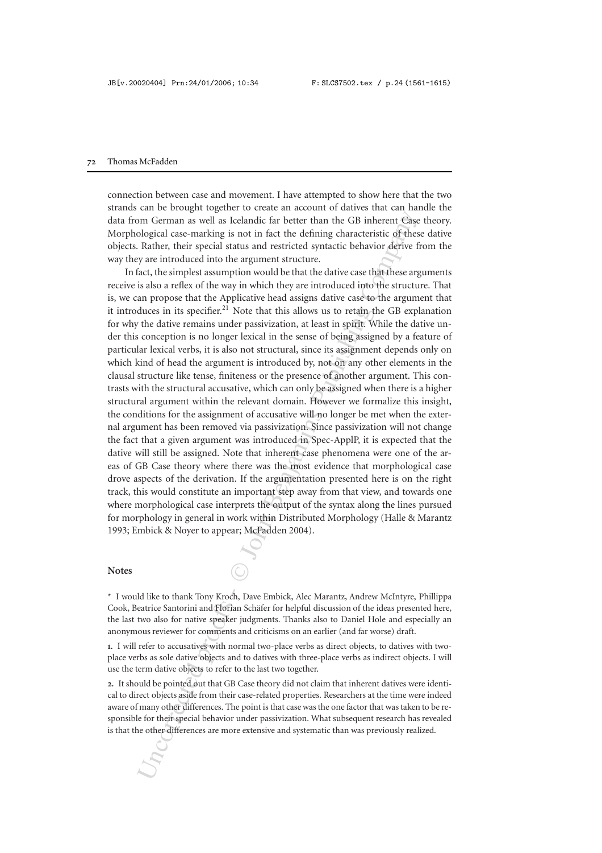connection between case and movement. I have attempted to show here that the two strands can be brought together to create an account of datives that can handle the data from German as well as Icelandic far better than the GB inherent Case theory. Morphological case-marking is not in fact the defining characteristic of these dative objects. Rather, their special status and restricted syntactic behavior derive from the way they are introduced into the argument structure.

om German as well as Icelandic far better than the GB inherent Cage of Gold coloregical cases - marking is not in fact the defining characteristic of chesses are introduced into the argument structure. We are introduced i In fact, the simplest assumption would be that the dative case that these arguments receive is also a reflex of the way in which they are introduced into the structure. That is, we can propose that the Applicative head assigns dative case to the argument that it introduces in its specifier.<sup>21</sup> Note that this allows us to retain the GB explanation for why the dative remains under passivization, at least in spirit. While the dative under this conception is no longer lexical in the sense of being assigned by a feature of particular lexical verbs, it is also not structural, since its assignment depends only on which kind of head the argument is introduced by, not on any other elements in the clausal structure like tense, finiteness or the presence of another argument. This contrasts with the structural accusative, which can only be assigned when there is a higher structural argument within the relevant domain. However we formalize this insight, the conditions for the assignment of accusative will no longer be met when the external argument has been removed via passivization. Since passivization will not change the fact that a given argument was introduced in Spec-ApplP, it is expected that the dative will still be assigned. Note that inherent case phenomena were one of the areas of GB Case theory where there was the most evidence that morphological case drove aspects of the derivation. If the argumentation presented here is on the right track, this would constitute an important step away from that view, and towards one where morphological case interprets the output of the syntax along the lines pursued for morphology in general in work within Distributed Morphology (Halle & Marantz 1993; Embick & Noyer to appear; McFadden 2004).

#### **Notes**

\* I would like to thank Tony Kroch, Dave Embick, Alec Marantz, Andrew McIntyre, Phillippa Cook, Beatrice Santorini and Florian Schäfer for helpful discussion of the ideas presented here, the last two also for native speaker judgments. Thanks also to Daniel Hole and especially an anonymous reviewer for comments and criticisms on an earlier (and far worse) draft.

**.** I will refer to accusatives with normal two-place verbs as direct objects, to datives with twoplace verbs as sole dative objects and to datives with three-place verbs as indirect objects. I will use the term dative objects to refer to the last two together.

**.** It should be pointed out that GB Case theory did not claim that inherent datives were identical to direct objects aside from their case-related properties. Researchers at the time were indeed aware of many other differences. The point is that case was the one factor that was taken to be responsible for their special behavior under passivization. What subsequent research has revealed is that the other differences are more extensive and systematic than was previously realized.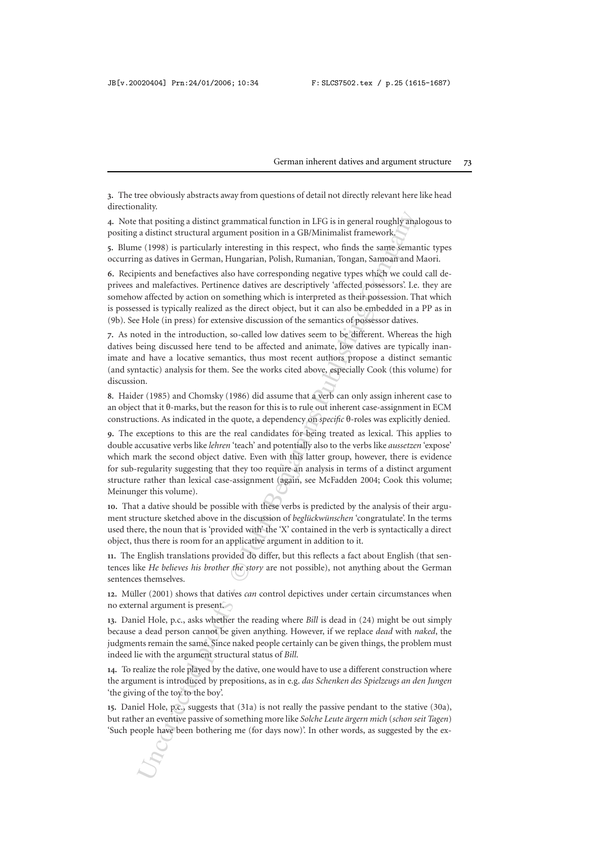**.** The tree obviously abstracts away from questions of detail not directly relevant here like head directionality.

**.** Note that positing a distinct grammatical function in LFG is in general roughly analogous to positing a distinct structural argument position in a GB/Minimalist framework.

**.** Blume (1998) is particularly interesting in this respect, who finds the same semantic types occurring as datives in German, Hungarian, Polish, Rumanian, Tongan, Samoan and Maori.

**.** Recipients and benefactives also have corresponding negative types which we could call deprivees and malefactives. Pertinence datives are descriptively 'affected possessors'. I.e. they are somehow affected by action on something which is interpreted as their possession. That which is possessed is typically realized as the direct object, but it can also be embedded in a PP as in (9b). See Hole (in press) for extensive discussion of the semantics of possessor datives.

**.** As noted in the introduction, so-called low datives seem to be different. Whereas the high datives being discussed here tend to be affected and animate, low datives are typically inanimate and have a locative semantics, thus most recent authors propose a distinct semantic (and syntactic) analysis for them. See the works cited above, especially Cook (this volume) for discussion.

**.** Haider (1985) and Chomsky (1986) did assume that a verb can only assign inherent case to an object that it θ-marks, but the reason for this is to rule out inherent case-assignment in ECM constructions. As indicated in the quote, a dependency on *specific* θ-roles was explicitly denied.

that positing a distinct grammatical function in LFG is in general roughly and<br>a distinct structural argument position in a GHM/mimalls framework,<br>Simual and simulation structural parameter position in a GHM/mimalls frame **.** The exceptions to this are the real candidates for being treated as lexical. This applies to double accusative verbs like *lehren* 'teach' and potentially also to the verbs like *aussetzen* 'expose' which mark the second object dative. Even with this latter group, however, there is evidence for sub-regularity suggesting that they too require an analysis in terms of a distinct argument structure rather than lexical case-assignment (again, see McFadden 2004; Cook this volume; Meinunger this volume).

**.** That a dative should be possible with these verbs is predicted by the analysis of their argument structure sketched above in the discussion of *beglückwünschen* 'congratulate'. In the terms used there, the noun that is 'provided with' the 'X' contained in the verb is syntactically a direct object, thus there is room for an applicative argument in addition to it.

**.** The English translations provided do differ, but this reflects a fact about English (that sentences like *He believes his brother the story* are not possible), not anything about the German sentences themselves.

**.** Müller (2001) shows that datives *can* control depictives under certain circumstances when no external argument is present.

**.** Daniel Hole, p.c., asks whether the reading where *Bill* is dead in (24) might be out simply because a dead person cannot be given anything. However, if we replace *dead* with *naked*, the judgments remain the same. Since naked people certainly can be given things, the problem must indeed lie with the argument structural status of *Bill* .

**.** To realize the role played by the dative, one would have to use a different construction where the argument is introduced by prepositions, as in e.g. *das Schenken des Spielzeugs an den Jungen* 'the giving of the toy to the boy'.

**.** Daniel Hole, p.c., suggests that (31a) is not really the passive pendant to the stative (30a), but rather an eventive passive of something more like *Solche Leute ärgern mich* (*schon seit Tagen* ) 'Such people have been bothering me (for days now)'. In other words, as suggested by the ex-

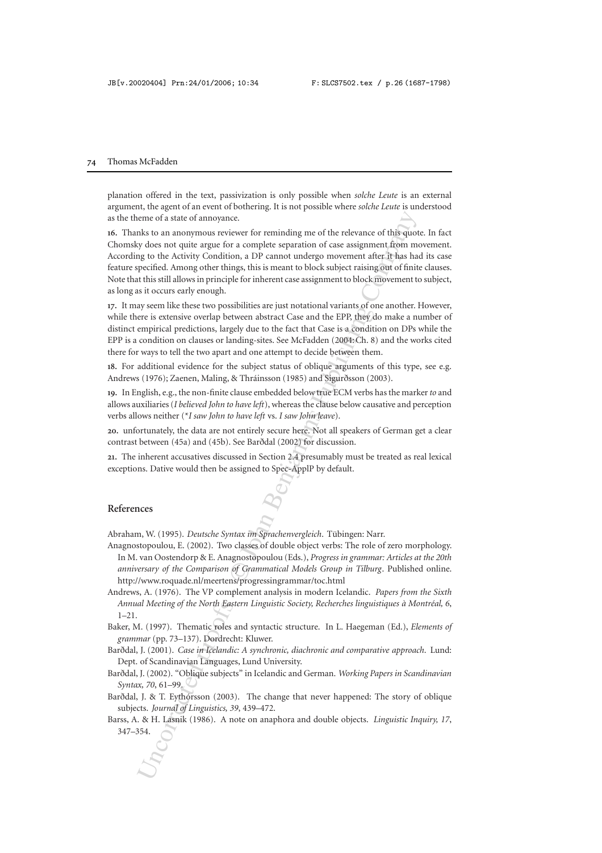planation offered in the text, passivization is only possible when *solche Leute* is an external argument, the agent of an event of bothering. It is not possible where *solche Leute* is understood as the theme of a state of annoyance.

eme of a state of annoyance.<br>
This to an anonyonos reviewes for reminding me of the relevance of this quote of some of the strative Condition, a DP cannot undergo movement at fact this based band and pape to the Activity **.** Thanks to an anonymous reviewer for reminding me of the relevance of this quote. In fact Chomsky does not quite argue for a complete separation of case assignment from movement. According to the Activity Condition, a DP cannot undergo movement after it has had its case feature specified. Among other things, this is meant to block subject raising out of finite clauses. Note that this still allows in principle for inherent case assignment to block movement to subject, as long as it occurs early enough.

**.** It may seem like these two possibilities are just notational variants of one another. However, while there is extensive overlap between abstract Case and the EPP, they do make a number of distinct empirical predictions, largely due to the fact that Case is a condition on DPs while the EPP is a condition on clauses or landing-sites. See McFadden (2004:Ch. 8) and the works cited there for ways to tell the two apart and one attempt to decide between them.

**.** For additional evidence for the subject status of oblique arguments of this type, see e.g. Andrews (1976); Zaenen, Maling, & Thráinsson (1985) and Sigurðsson (2003).

**.** In English, e.g., the non-finite clause embedded below true ECM verbs has the marker*to* and allows auxiliaries (*I believed John to have left*), whereas the clause below causative and perception verbs allows neither (\**I saw John to have left* vs. *I saw John leave*).

**.** unfortunately, the data are not entirely secure here. Not all speakers of German get a clear contrast between (45a) and (45b). See Barðdal (2002) for discussion.

**.** The inherent accusatives discussed in Section 2.4 presumably must be treated as real lexical exceptions. Dative would then be assigned to Spec-ApplP by default.

#### **References**

Abraham, W. (1995). *Deutsche Syntax im Sprachenvergleich*. Tübingen: Narr.

- Anagnostopoulou, E. (2002). Two classes of double object verbs: The role of zero morphology. In M. van Oostendorp & E. Anagnostopoulou (Eds.), *Progress in grammar: Articles at the 20th anniversary of the Comparison of Grammatical Models Group in Tilburg*. Published online. http://www.roquade.nl/meertens/progressingrammar/toc.html
- Andrews, A. (1976). The VP complement analysis in modern Icelandic. *Papers from the Sixth Annual Meeting of the North Eastern Linguistic Society, Recherches linguistiques à Montréal, 6*,  $1 - 21$ .
- Baker, M. (1997). Thematic roles and syntactic structure. In L. Haegeman (Ed.), *Elements of grammar* (pp. 73–137). Dordrecht: Kluwer.

Barðdal, J. (2001). *Case in Icelandic: A synchronic, diachronic and comparative approach*. Lund: Dept. of Scandinavian Languages, Lund University.

- Barðdal, J. (2002). "Oblique subjects" in Icelandic and German. *Working Papers in Scandinavian Syntax, 70*, 61–99.
- Barðdal, J. & T. Eythórsson (2003). The change that never happened: The story of oblique subjects. *Journal of Linguistics, 39*, 439–472.
- Barss, A. & H. Lasnik (1986). A note on anaphora and double objects. *Linguistic Inquiry, 17*, 347–354.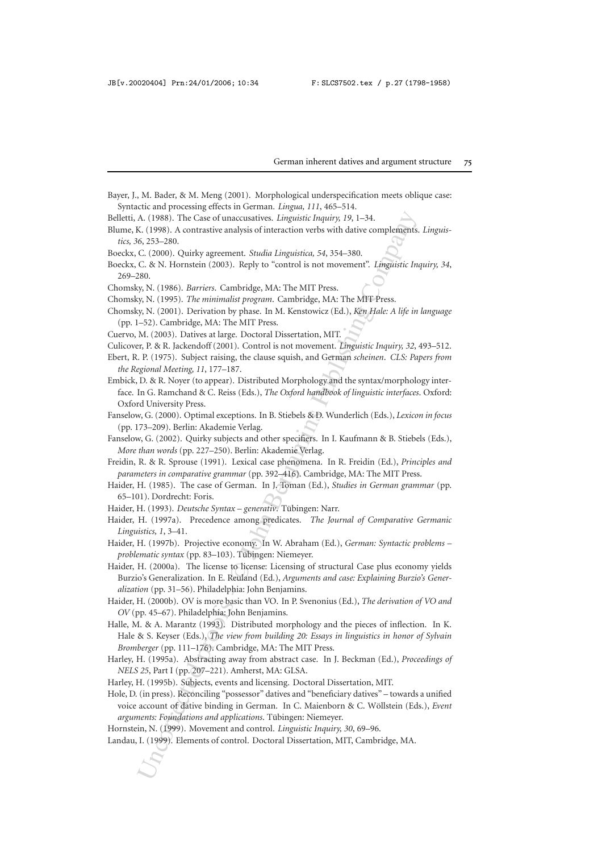- Bayer, J., M. Bader, & M. Meng (2001). Morphological underspecification meets oblique case: Syntactic and processing effects in German. *Lingua, 111*, 465–514.
- Belletti, A. (1988). The Case of unaccusatives. *Linguistic Inquiry, 19*, 1–34.
- Blume, K. (1998). A contrastive analysis of interaction verbs with dative complements. *Linguistics, 36*, 253–280.
- Boeckx, C. (2000). Quirky agreement. *Studia Linguistica, 54*, 354–380.
- Boeckx, C. & N. Hornstein (2003). Reply to "control is not movement". *Linguistic Inquiry, 34* , 269–280.
- Chomsky, N. (1986). *Barriers*. Cambridge, MA: The MIT Press.
- Chomsky, N. (1995). *The minimalist program*. Cambridge, MA: The MIT Press.
- Chomsky, N. (2001). Derivation by phase. In M. Kenstowicz (Ed.), *Ken Hale: A life in language* (pp. 1–52). Cambridge, MA: The MIT Press.
- Cuervo, M. (2003). Datives at large. Doctoral Dissertation, MIT.
- Culicover, P. & R. Jackendoff (2001). Control is not movement. *Linguistic Inquiry, 32*, 493–512.
- Ebert, R. P. (1975). Subject raising, the clause squish, and German *scheinen* . *CLS: Papers from the Regional Meeting, 11*, 177–187.
- A. (1988). The Case of unaccusatives. *Linguistic Inquiry*, 19, 1–34.<br>A. (1998). Ac ottastive analysis of interaction verbe with duiver complements.<br>  $C_n$  (1998). Ac ottastive analysis of interaction verbe with duiver com Embick, D. & R. Noyer (to appear). Distributed Morphology and the syntax/morphology interface. In G. Ramchand & C. Reiss (Eds.), *The Oxford handbook of linguistic interfaces*. Oxford: Oxford University Press.
- Fanselow, G. (2000). Optimal exceptions. In B. Stiebels & D. Wunderlich (Eds.), *Lexicon in focus* (pp. 173–209). Berlin: Akademie Verlag.
- Fanselow, G. (2002). Quirky subjects and other specifiers. In I. Kaufmann & B. Stiebels (Eds.), *More than words* (pp. 227–250). Berlin: Akademie Verlag.
- Freidin, R. & R. Sprouse (1991). Lexical case phenomena. In R. Freidin (Ed.), *Principles and parameters in comparative grammar* (pp. 392–416). Cambridge, MA: The MIT Press.
- Haider, H. (1985). The case of German. In J. Toman (Ed.), *Studies in German grammar* (pp. 65–101). Dordrecht: Foris.
- Haider, H. (1993). *Deutsche Syntax generativ*. Tübingen: Narr.
- Haider, H. (1997a). Precedence among predicates. *The Journal of Comparative Germanic Linguistics, 1*, 3–41.
- Haider, H. (1997b). Projective economy. In W. Abraham (Ed.), *German: Syntactic problems – problematic syntax* (pp. 83–103). Tübingen: Niemeyer.
- Haider, H. (2000a). The license to license: Licensing of structural Case plus economy yields Burzio's Generalization. In E. Reuland (Ed.), *Arguments and case: Explaining Burzio's Generalization* (pp. 31–56). Philadelphia: John Benjamins.
- Haider, H. (2000b). OV is more basic than VO. In P. Svenonius (Ed.), *The derivation of VO and OV* (pp. 45–67). Philadelphia: John Benjamins.
- Halle, M. & A. Marantz (1993). Distributed morphology and the pieces of inflection. In K. Hale & S. Keyser (Eds.), *The view from building 20: Essays in linguistics in honor of Sylvain Bromberger* (pp. 111–176). Cambridge, MA: The MIT Press.
- Harley, H. (1995a). Abstracting away from abstract case. In J. Beckman (Ed.), *Proceedings of NELS 25*, Part I (pp. 207–221). Amherst, MA: GLSA.
- Harley, H. (1995b). Subjects, events and licensing. Doctoral Dissertation, MIT.
- Hole, D. (in press). Reconciling "possessor" datives and "beneficiary datives" towards a unified voice account of dative binding in German. In C. Maienborn & C. Wöllstein (Eds.), *Event arguments: Foundations and applications*. Tübingen: Niemeyer.
- Hornstein, N. (1999). Movement and control. *Linguistic Inquiry, 30*, 69–96.
- Landau, I. (1999). Elements of control. Doctoral Dissertation, MIT, Cambridge, MA.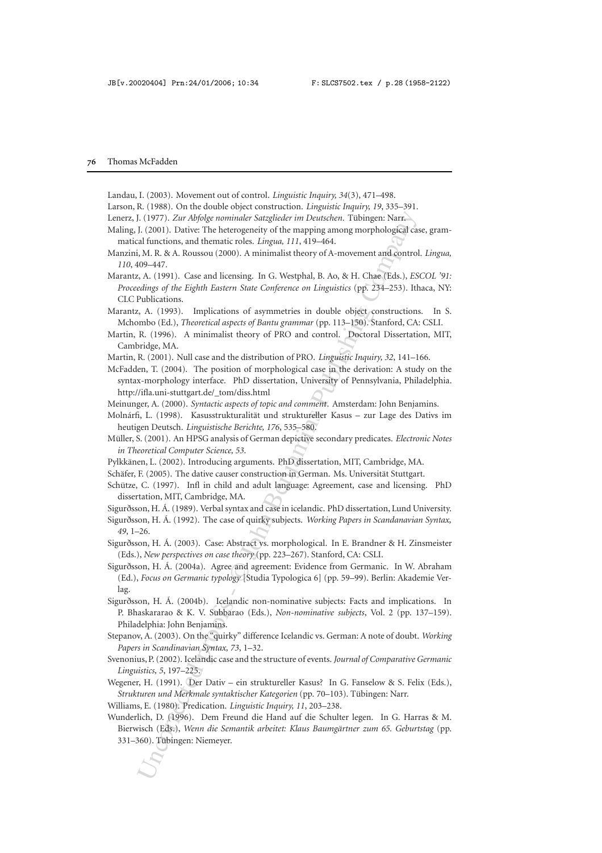Landau, I. (2003). Movement out of control. *Linguistic Inquiry, 34*(3), 471–498.

Larson, R. (1988). On the double object construction. *Linguistic Inquiry, 19*, 335–391.

Lenerz, J. (1977). *Zur Abfolge nominaler Satzglieder im Deutschen*. Tübingen: Narr.

Maling, J. (2001). Dative: The heterogeneity of the mapping among morphological case, grammatical functions, and thematic roles. *Lingua, 111*, 419–464.

Manzini, M. R. & A. Roussou (2000). A minimalist theory of A-movement and control. *Lingua, 110*, 409–447.

1. (1977). *Laty Abyloge sominalist sharefolder in Deutscher, Tabinen: Nationalist Statisticker Rosenber, Company and the matric matrix and the matric matrix*  $\sim 1.40$  *MeV. Re. A. Roussou (2000). A minimalist theory of A* Marantz, A. (1991). Case and licensing. In G. Westphal, B. Ao, & H. Chae (Eds.), *ESCOL '91: Proceedings of the Eighth Eastern State Conference on Linguistics* (pp. 234–253). Ithaca, NY: CLC Publications.

Marantz, A. (1993). Implications of asymmetries in double object constructions. In S. Mchombo (Ed.), *Theoretical aspects of Bantu grammar* (pp. 113–150). Stanford, CA: CSLI.

Martin, R. (1996). A minimalist theory of PRO and control. Doctoral Dissertation, MIT, Cambridge, MA.

Martin, R. (2001). Null case and the distribution of PRO. *Linguistic Inquiry, 32*, 141–166.

McFadden, T. (2004). The position of morphological case in the derivation: A study on the syntax-morphology interface. PhD dissertation, University of Pennsylvania, Philadelphia. http://ifla.uni-stuttgart.de/\_tom/diss.html

Meinunger, A. (2000). *Syntactic aspects of topic and comment*. Amsterdam: John Benjamins.

- Molnárfi, L. (1998). Kasusstrukturalität und struktureller Kasus zur Lage des Dativs im heutigen Deutsch. *Linguistische Berichte, 176*, 535–580.
- Müller, S. (2001). An HPSG analysis of German depictive secondary predicates. *Electronic Notes in Theoretical Computer Science, 53* .
- Pylkkänen, L. (2002). Introducing arguments. PhD dissertation, MIT, Cambridge, MA.
- Schäfer, F. (2005). The dative causer construction in German. Ms. Universität Stuttgart.

Schütze, C. (1997). Infl in child and adult language: Agreement, case and licensing. PhD dissertation, MIT, Cambridge, MA.

Sigurðsson, H. Á. (1989). Verbal syntax and case in icelandic. PhD dissertation, Lund University.

Sigurðsson, H. Á. (1992). The case of quirky subjects. *Working Papers in Scandanavian Syntax, 49*, 1–26.

Sigurðsson, H. Á. (2003). Case: Abstract vs. morphological. In E. Brandner & H. Zinsmeister (Eds.), *New perspectives on case theory* (pp. 223–267). Stanford, CA: CSLI.

Sigurðsson, H. Á. (2004a). Agree and agreement: Evidence from Germanic. In W. Abraham (Ed.), *Focus on Germanic typology* [Studia Typologica 6] (pp. 59–99). Berlin: Akademie Verlag.

Sigurðsson, H. Á. (2004b). Icelandic non-nominative subjects: Facts and implications. In P. Bhaskararao & K. V. Subbarao (Eds.), *Non-nominative subjects*, Vol. 2 (pp. 137–159). Philadelphia: John Benjamins.

- Stepanov, A. (2003). On the "quirky" difference Icelandic vs. German: A note of doubt. *Working Papers in Scandinavian Syntax, 73*, 1–32.
- Svenonius, P. (2002). Icelandic case and the structure of events. *Journal of Comparative Germanic Linguistics, 5*, 197–225.

Wegener, H. (1991). Der Dativ – ein struktureller Kasus? In G. Fanselow & S. Felix (Eds.), *Strukturen und Merkmale syntaktischer Kategorien* (pp. 70–103). Tübingen: Narr.

Williams, E. (1980). Predication. *Linguistic Inquiry, 11*, 203–238.

Wunderlich, D. (1996). Dem Freund die Hand auf die Schulter legen. In G. Harras & M. Bierwisch (Eds.), *Wenn die Semantik arbeitet: Klaus Baumgärtner zum 65. Geburtstag* (pp. 331–360). Tübingen: Niemeyer.